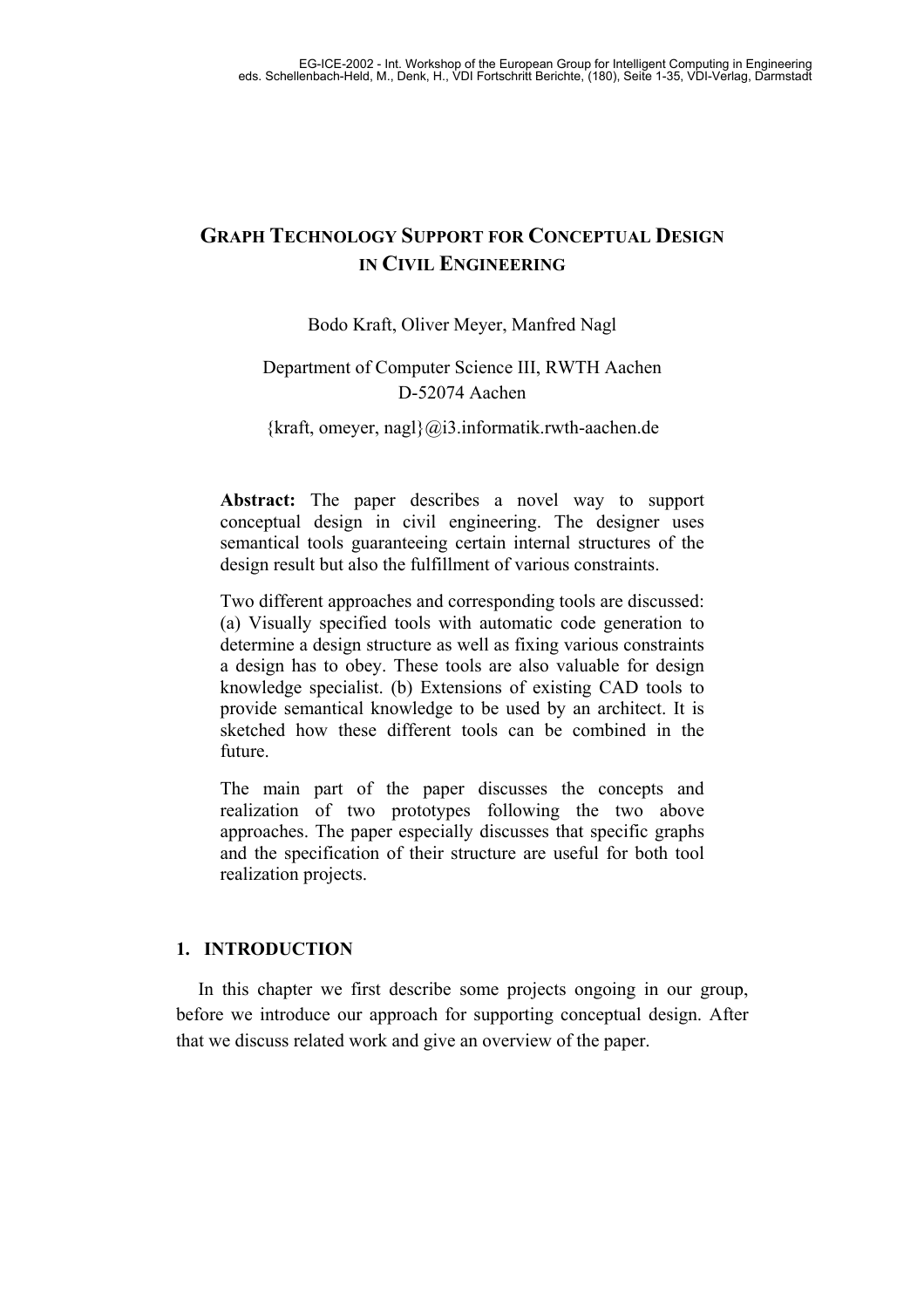# **GRAPH TECHNOLOGY SUPPORT FOR CONCEPTUAL DESIGN IN CIVIL ENGINEERING**

# Bodo Kraft, Oliver Meyer, Manfred Nagl

# Department of Computer Science III, RWTH Aachen D-52074 Aachen

# $\{kraft, omeyer, nagl\} @$ i3.informatik.rwth-aachen.de

**Abstract:** The paper describes a novel way to support conceptual design in civil engineering. The designer uses semantical tools guaranteeing certain internal structures of the design result but also the fulfillment of various constraints.

Two different approaches and corresponding tools are discussed: (a) Visually specified tools with automatic code generation to determine a design structure as well as fixing various constraints a design has to obey. These tools are also valuable for design knowledge specialist. (b) Extensions of existing CAD tools to provide semantical knowledge to be used by an architect. It is sketched how these different tools can be combined in the future.

The main part of the paper discusses the concepts and realization of two prototypes following the two above approaches. The paper especially discusses that specific graphs and the specification of their structure are useful for both tool realization projects.

# **1. INTRODUCTION**

In this chapter we first describe some projects ongoing in our group, before we introduce our approach for supporting conceptual design. After that we discuss related work and give an overview of the paper.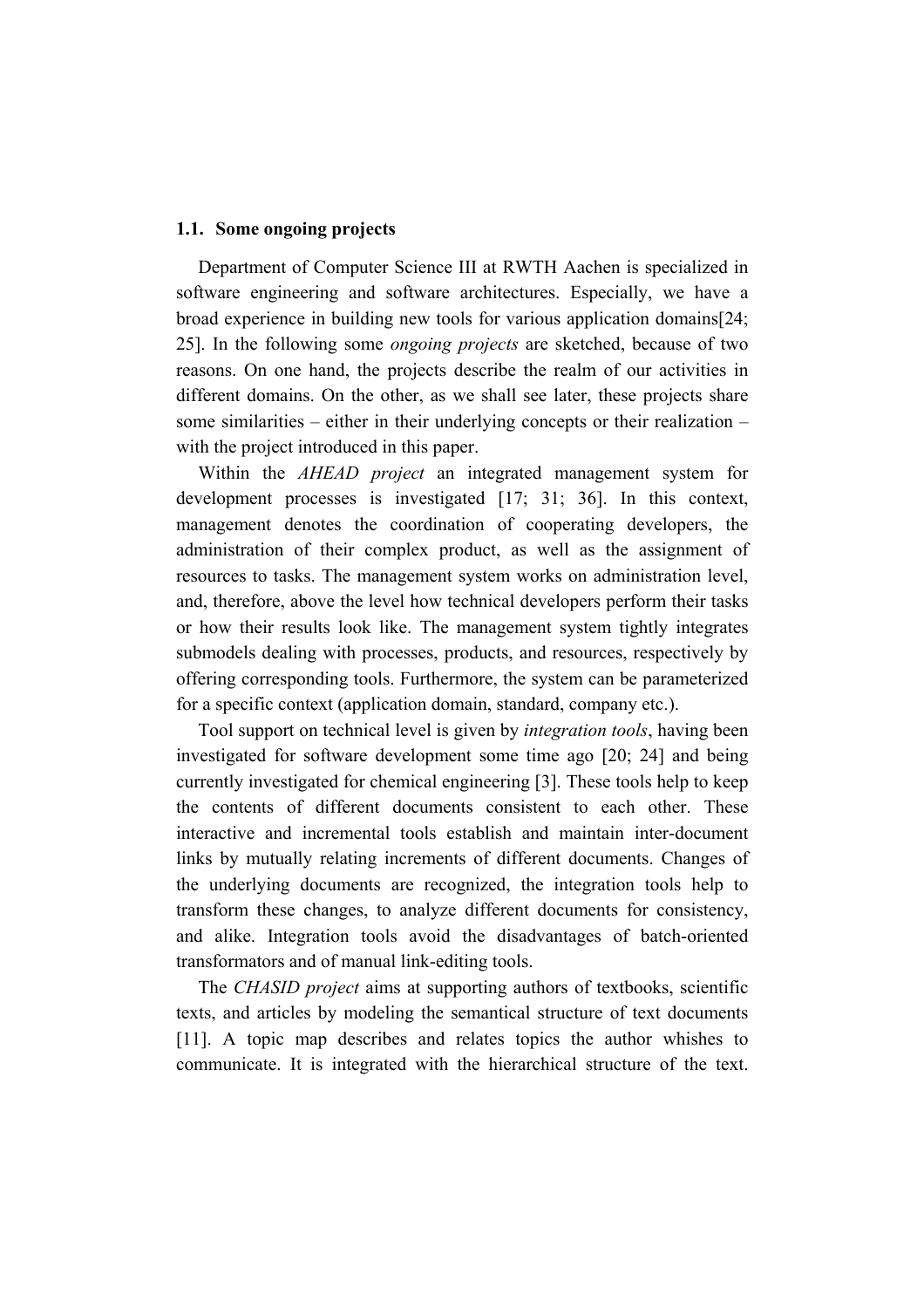#### **1.1. Some ongoing projects**

Department of Computer Science III at RWTH Aachen is specialized in software engineering and software architectures. Especially, we have a broad experience in building new tools for various application domains[24; 25]. In the following some *ongoing projects* are sketched, because of two reasons. On one hand, the projects describe the realm of our activities in different domains. On the other, as we shall see later, these projects share some similarities – either in their underlying concepts or their realization – with the project introduced in this paper.

Within the *AHEAD project* an integrated management system for development processes is investigated [17; 31; 36]. In this context, management denotes the coordination of cooperating developers, the administration of their complex product, as well as the assignment of resources to tasks. The management system works on administration level, and, therefore, above the level how technical developers perform their tasks or how their results look like. The management system tightly integrates submodels dealing with processes, products, and resources, respectively by offering corresponding tools. Furthermore, the system can be parameterized for a specific context (application domain, standard, company etc.).

Tool support on technical level is given by *integration tools*, having been investigated for software development some time ago [20; 24] and being currently investigated for chemical engineering [3]. These tools help to keep the contents of different documents consistent to each other. These interactive and incremental tools establish and maintain inter-document links by mutually relating increments of different documents. Changes of the underlying documents are recognized, the integration tools help to transform these changes, to analyze different documents for consistency, and alike. Integration tools avoid the disadvantages of batch-oriented transformators and of manual link-editing tools.

The *CHASID project* aims at supporting authors of textbooks, scientific texts, and articles by modeling the semantical structure of text documents [11]. A topic map describes and relates topics the author whishes to communicate. It is integrated with the hierarchical structure of the text.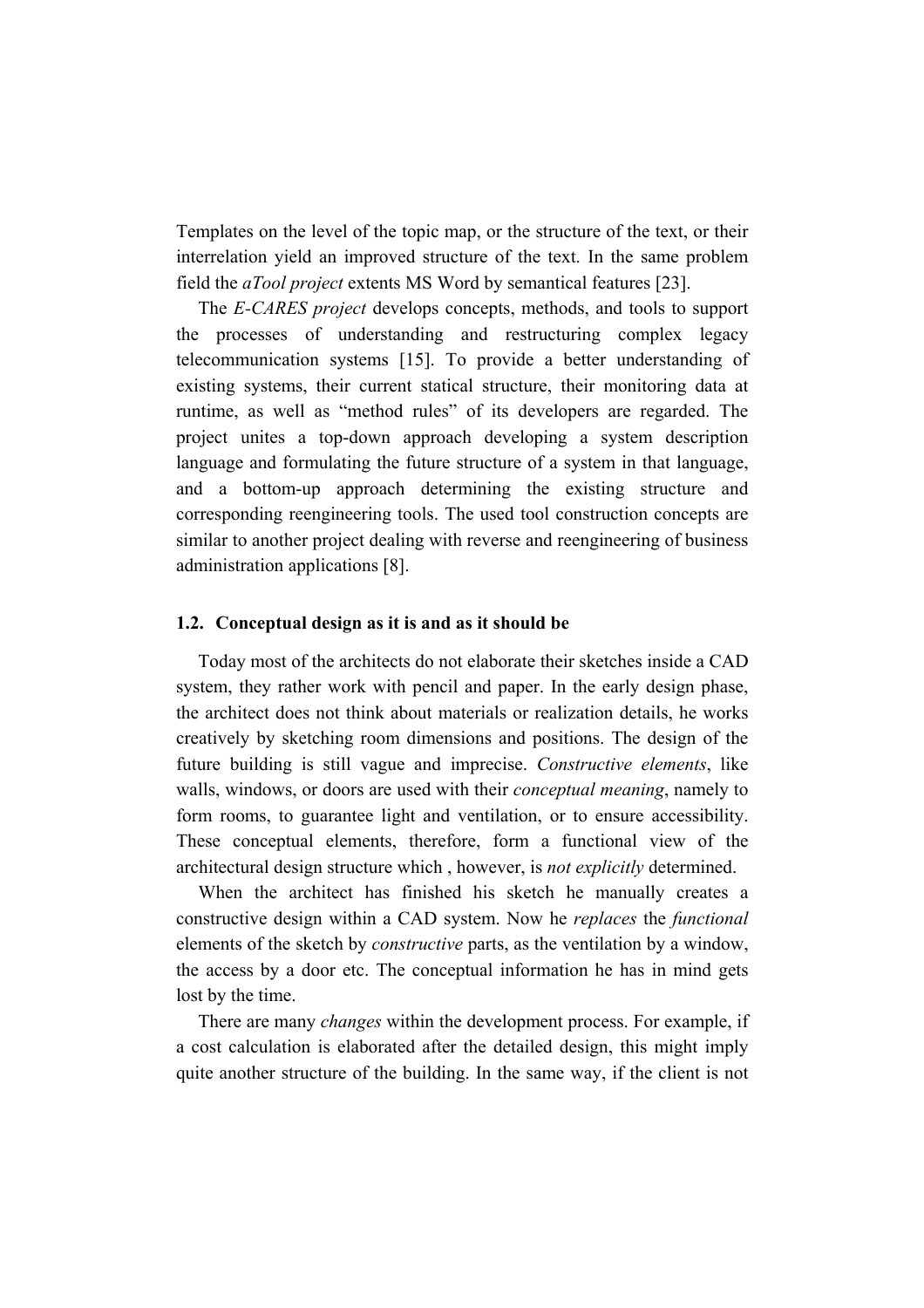Templates on the level of the topic map, or the structure of the text, or their interrelation yield an improved structure of the text. In the same problem field the *aTool project* extents MS Word by semantical features [23].

The *E-CARES project* develops concepts, methods, and tools to support the processes of understanding and restructuring complex legacy telecommunication systems [15]. To provide a better understanding of existing systems, their current statical structure, their monitoring data at runtime, as well as "method rules" of its developers are regarded. The project unites a top-down approach developing a system description language and formulating the future structure of a system in that language, and a bottom-up approach determining the existing structure and corresponding reengineering tools. The used tool construction concepts are similar to another project dealing with reverse and reengineering of business administration applications [8].

#### **1.2. Conceptual design as it is and as it should be**

Today most of the architects do not elaborate their sketches inside a CAD system, they rather work with pencil and paper. In the early design phase, the architect does not think about materials or realization details, he works creatively by sketching room dimensions and positions. The design of the future building is still vague and imprecise. *Constructive elements*, like walls, windows, or doors are used with their *conceptual meaning*, namely to form rooms, to guarantee light and ventilation, or to ensure accessibility. These conceptual elements, therefore, form a functional view of the architectural design structure which , however, is *not explicitly* determined.

When the architect has finished his sketch he manually creates a constructive design within a CAD system. Now he *replaces* the *functional*  elements of the sketch by *constructive* parts, as the ventilation by a window, the access by a door etc. The conceptual information he has in mind gets lost by the time.

There are many *changes* within the development process. For example, if a cost calculation is elaborated after the detailed design, this might imply quite another structure of the building. In the same way, if the client is not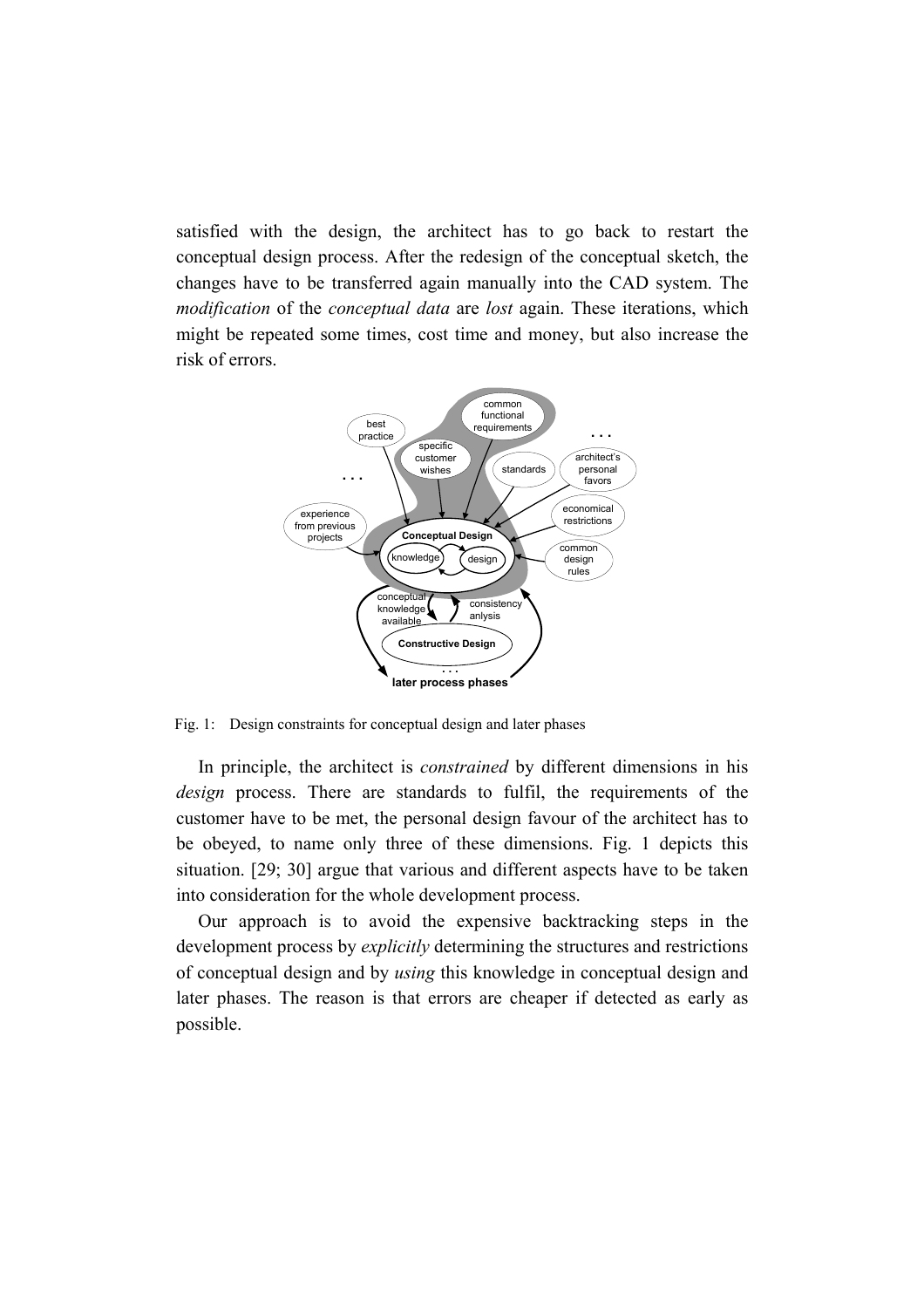satisfied with the design, the architect has to go back to restart the conceptual design process. After the redesign of the conceptual sketch, the changes have to be transferred again manually into the CAD system. The *modification* of the *conceptual data* are *lost* again. These iterations, which might be repeated some times, cost time and money, but also increase the risk of errors.



Fig. 1: Design constraints for conceptual design and later phases

In principle, the architect is *constrained* by different dimensions in his *design* process. There are standards to fulfil, the requirements of the customer have to be met, the personal design favour of the architect has to be obeyed, to name only three of these dimensions. Fig. 1 depicts this situation. [29; 30] argue that various and different aspects have to be taken into consideration for the whole development process.

Our approach is to avoid the expensive backtracking steps in the development process by *explicitly* determining the structures and restrictions of conceptual design and by *using* this knowledge in conceptual design and later phases. The reason is that errors are cheaper if detected as early as possible.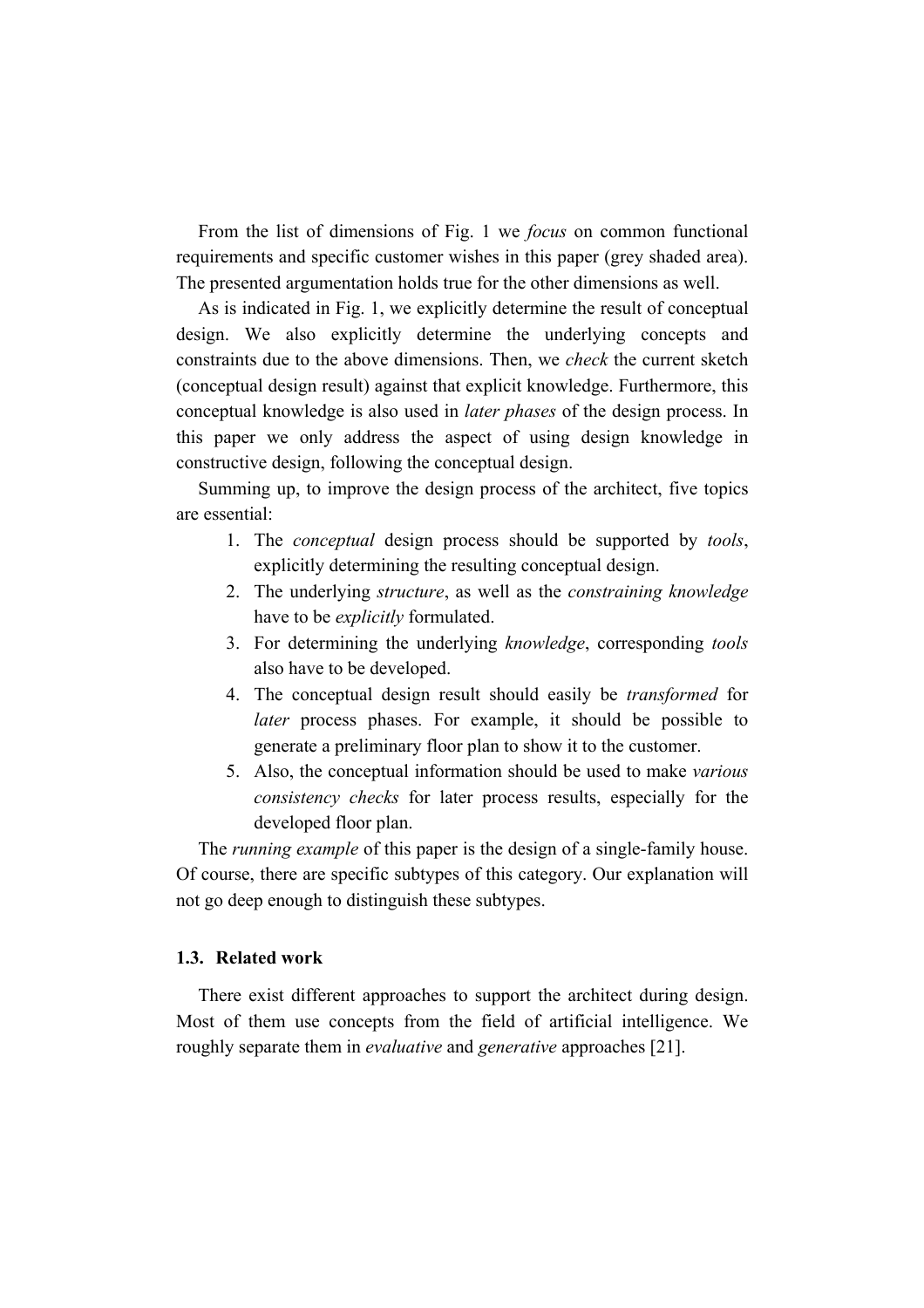From the list of dimensions of Fig. 1 we *focus* on common functional requirements and specific customer wishes in this paper (grey shaded area). The presented argumentation holds true for the other dimensions as well.

As is indicated in Fig. 1, we explicitly determine the result of conceptual design. We also explicitly determine the underlying concepts and constraints due to the above dimensions. Then, we *check* the current sketch (conceptual design result) against that explicit knowledge. Furthermore, this conceptual knowledge is also used in *later phases* of the design process. In this paper we only address the aspect of using design knowledge in constructive design, following the conceptual design.

Summing up, to improve the design process of the architect, five topics are essential:

- 1. The *conceptual* design process should be supported by *tools*, explicitly determining the resulting conceptual design.
- 2. The underlying *structure*, as well as the *constraining knowledge* have to be *explicitly* formulated.
- 3. For determining the underlying *knowledge*, corresponding *tools* also have to be developed.
- 4. The conceptual design result should easily be *transformed* for *later* process phases. For example, it should be possible to generate a preliminary floor plan to show it to the customer.
- 5. Also, the conceptual information should be used to make *various consistency checks* for later process results, especially for the developed floor plan.

The *running example* of this paper is the design of a single-family house. Of course, there are specific subtypes of this category. Our explanation will not go deep enough to distinguish these subtypes.

# **1.3. Related work**

There exist different approaches to support the architect during design. Most of them use concepts from the field of artificial intelligence. We roughly separate them in *evaluative* and *generative* approaches [21].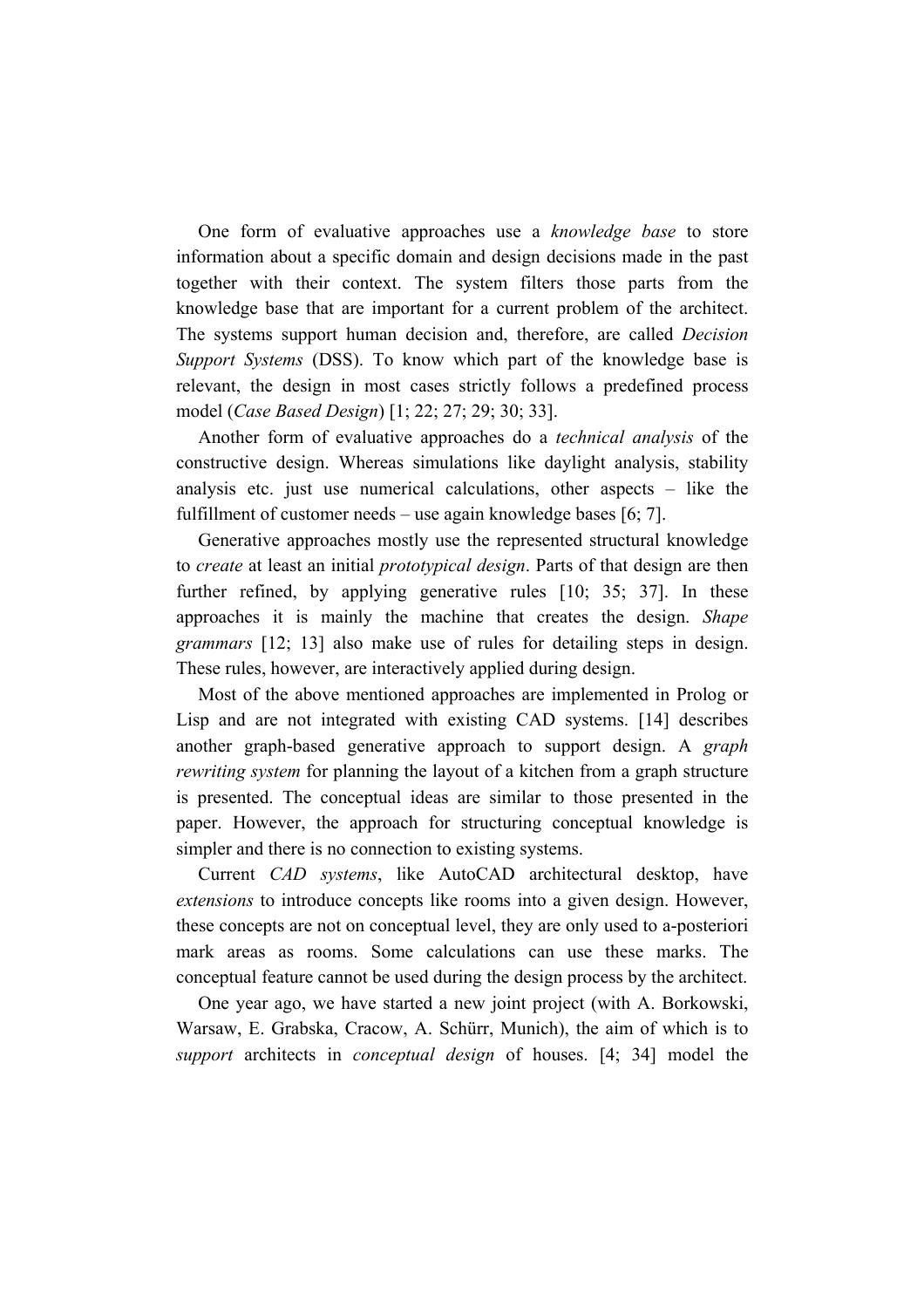One form of evaluative approaches use a *knowledge base* to store information about a specific domain and design decisions made in the past together with their context. The system filters those parts from the knowledge base that are important for a current problem of the architect. The systems support human decision and, therefore, are called *Decision Support Systems* (DSS). To know which part of the knowledge base is relevant, the design in most cases strictly follows a predefined process model (*Case Based Design*) [1; 22; 27; 29; 30; 33].

Another form of evaluative approaches do a *technical analysis* of the constructive design. Whereas simulations like daylight analysis, stability analysis etc. just use numerical calculations, other aspects – like the fulfillment of customer needs – use again knowledge bases [6; 7].

Generative approaches mostly use the represented structural knowledge to *create* at least an initial *prototypical design*. Parts of that design are then further refined, by applying generative rules [10; 35; 37]. In these approaches it is mainly the machine that creates the design. *Shape grammars* [12; 13] also make use of rules for detailing steps in design. These rules, however, are interactively applied during design.

Most of the above mentioned approaches are implemented in Prolog or Lisp and are not integrated with existing CAD systems. [14] describes another graph-based generative approach to support design. A *graph rewriting system* for planning the layout of a kitchen from a graph structure is presented. The conceptual ideas are similar to those presented in the paper. However, the approach for structuring conceptual knowledge is simpler and there is no connection to existing systems.

Current *CAD systems*, like AutoCAD architectural desktop, have *extensions* to introduce concepts like rooms into a given design. However, these concepts are not on conceptual level, they are only used to a-posteriori mark areas as rooms. Some calculations can use these marks. The conceptual feature cannot be used during the design process by the architect.

One year ago, we have started a new joint project (with A. Borkowski, Warsaw, E. Grabska, Cracow, A. Schürr, Munich), the aim of which is to *support* architects in *conceptual design* of houses. [4; 34] model the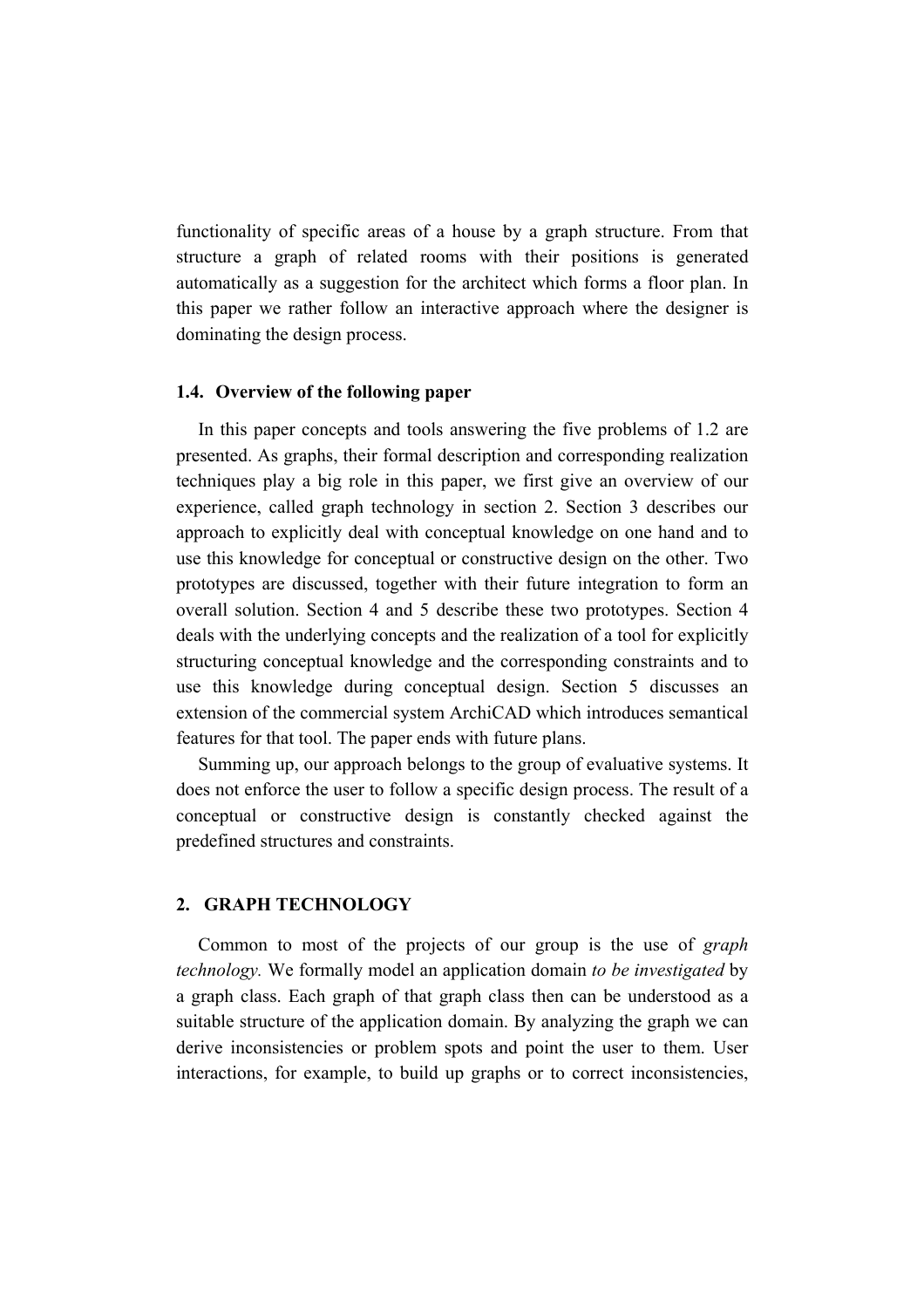functionality of specific areas of a house by a graph structure. From that structure a graph of related rooms with their positions is generated automatically as a suggestion for the architect which forms a floor plan. In this paper we rather follow an interactive approach where the designer is dominating the design process.

## **1.4. Overview of the following paper**

In this paper concepts and tools answering the five problems of 1.2 are presented. As graphs, their formal description and corresponding realization techniques play a big role in this paper, we first give an overview of our experience, called graph technology in section 2. Section 3 describes our approach to explicitly deal with conceptual knowledge on one hand and to use this knowledge for conceptual or constructive design on the other. Two prototypes are discussed, together with their future integration to form an overall solution. Section 4 and 5 describe these two prototypes. Section 4 deals with the underlying concepts and the realization of a tool for explicitly structuring conceptual knowledge and the corresponding constraints and to use this knowledge during conceptual design. Section 5 discusses an extension of the commercial system ArchiCAD which introduces semantical features for that tool. The paper ends with future plans.

Summing up, our approach belongs to the group of evaluative systems. It does not enforce the user to follow a specific design process. The result of a conceptual or constructive design is constantly checked against the predefined structures and constraints.

# **2. GRAPH TECHNOLOGY**

Common to most of the projects of our group is the use of *graph technology.* We formally model an application domain *to be investigated* by a graph class. Each graph of that graph class then can be understood as a suitable structure of the application domain. By analyzing the graph we can derive inconsistencies or problem spots and point the user to them. User interactions, for example, to build up graphs or to correct inconsistencies,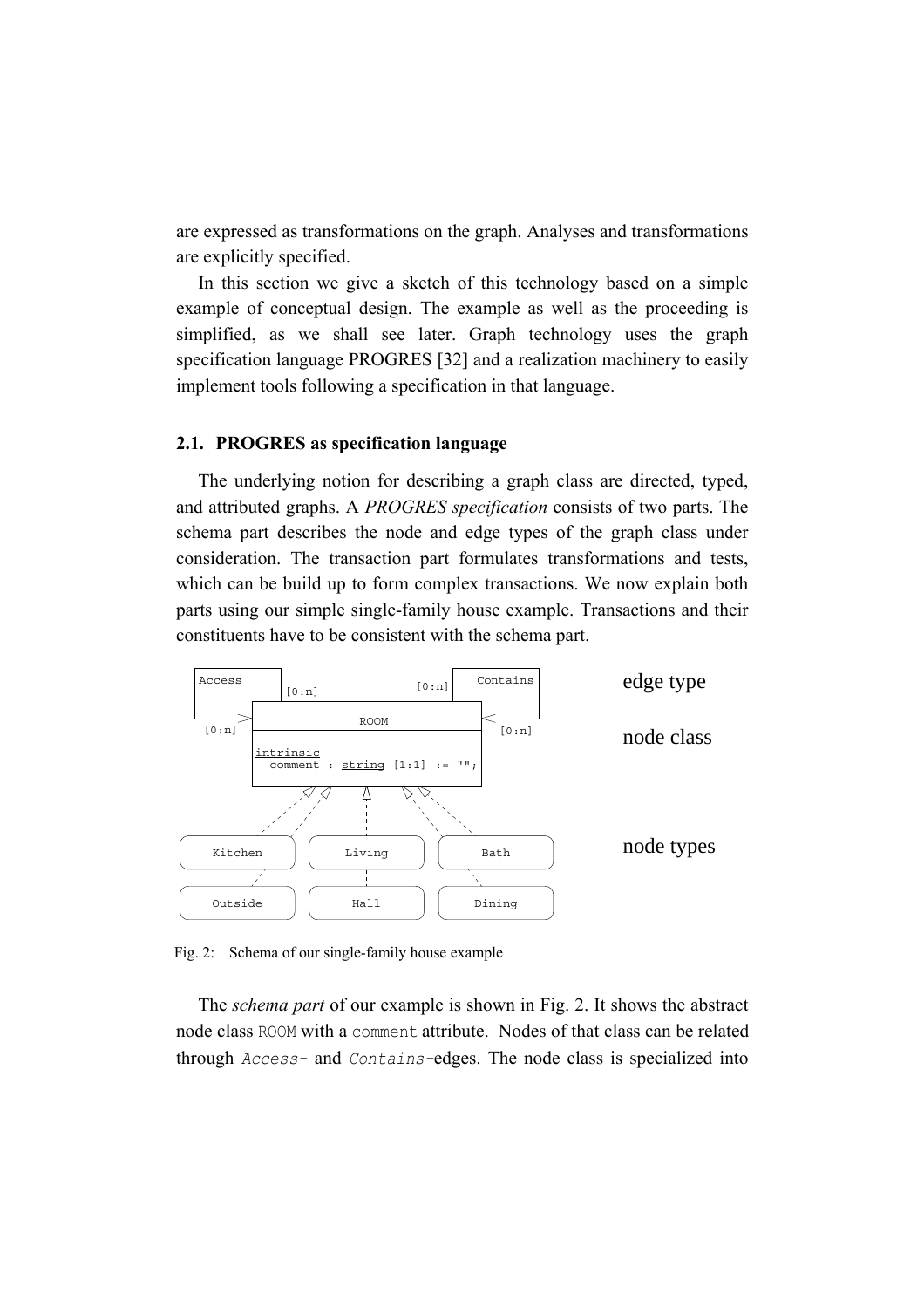are expressed as transformations on the graph. Analyses and transformations are explicitly specified.

In this section we give a sketch of this technology based on a simple example of conceptual design. The example as well as the proceeding is simplified, as we shall see later. Graph technology uses the graph specification language PROGRES [32] and a realization machinery to easily implement tools following a specification in that language.

#### **2.1. PROGRES as specification language**

The underlying notion for describing a graph class are directed, typed, and attributed graphs. A *PROGRES specification* consists of two parts. The schema part describes the node and edge types of the graph class under consideration. The transaction part formulates transformations and tests, which can be build up to form complex transactions. We now explain both parts using our simple single-family house example. Transactions and their constituents have to be consistent with the schema part.



Fig. 2: Schema of our single-family house example

The *schema part* of our example is shown in Fig. 2. It shows the abstract node class ROOM with a comment attribute. Nodes of that class can be related through *Access-* and *Contains-*edges. The node class is specialized into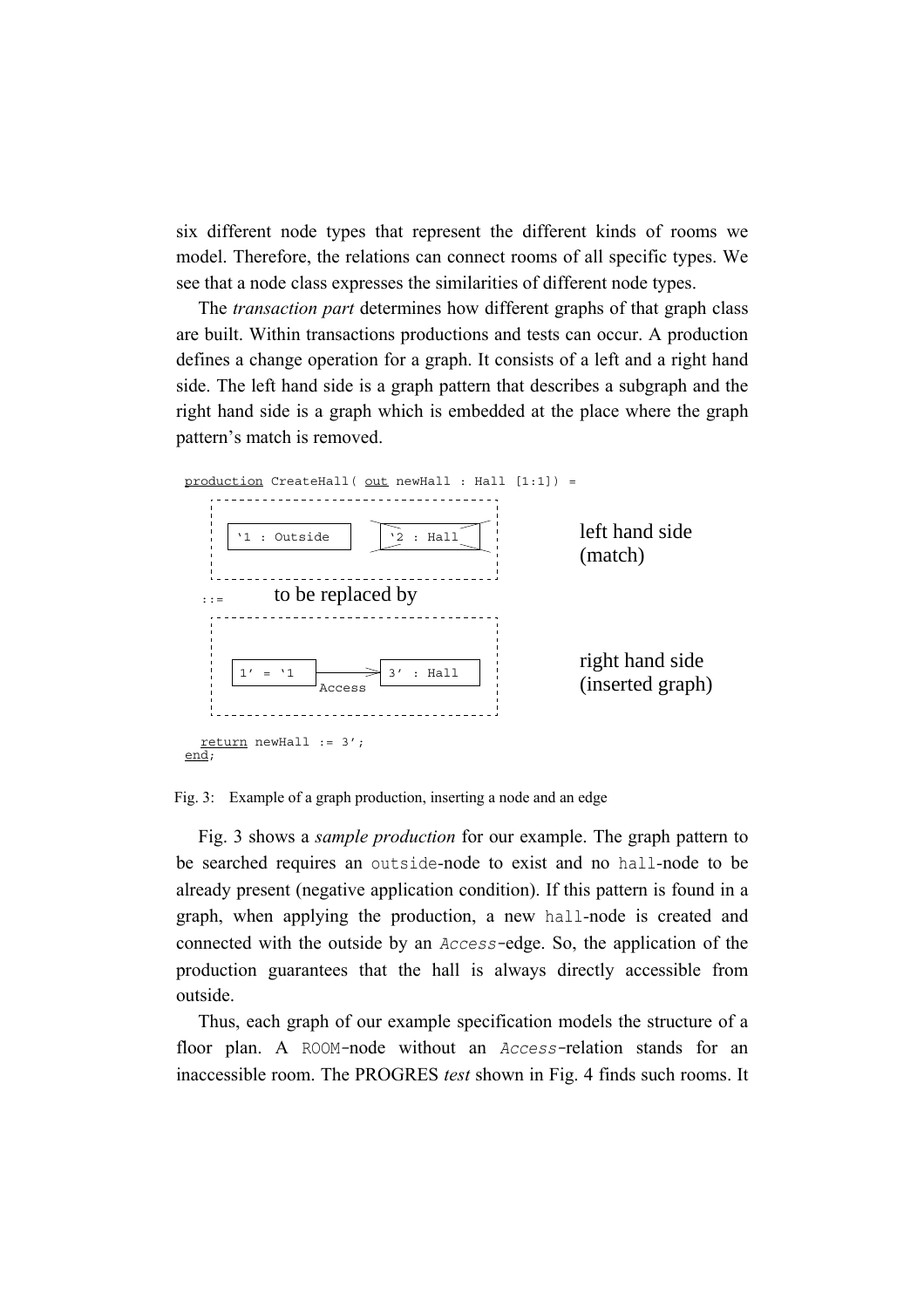six different node types that represent the different kinds of rooms we model. Therefore, the relations can connect rooms of all specific types. We see that a node class expresses the similarities of different node types.

The *transaction part* determines how different graphs of that graph class are built. Within transactions productions and tests can occur. A production defines a change operation for a graph. It consists of a left and a right hand side. The left hand side is a graph pattern that describes a subgraph and the right hand side is a graph which is embedded at the place where the graph pattern's match is removed.



Fig. 3: Example of a graph production, inserting a node and an edge

Fig. 3 shows a *sample production* for our example. The graph pattern to be searched requires an outside*-*node to exist and no hall*-*node to be already present (negative application condition). If this pattern is found in a graph, when applying the production, a new hall*-*node is created and connected with the outside by an *Access-*edge. So, the application of the production guarantees that the hall is always directly accessible from outside.

Thus, each graph of our example specification models the structure of a floor plan. A ROOM*-*node without an *Access-*relation stands for an inaccessible room. The PROGRES *test* shown in Fig. 4 finds such rooms. It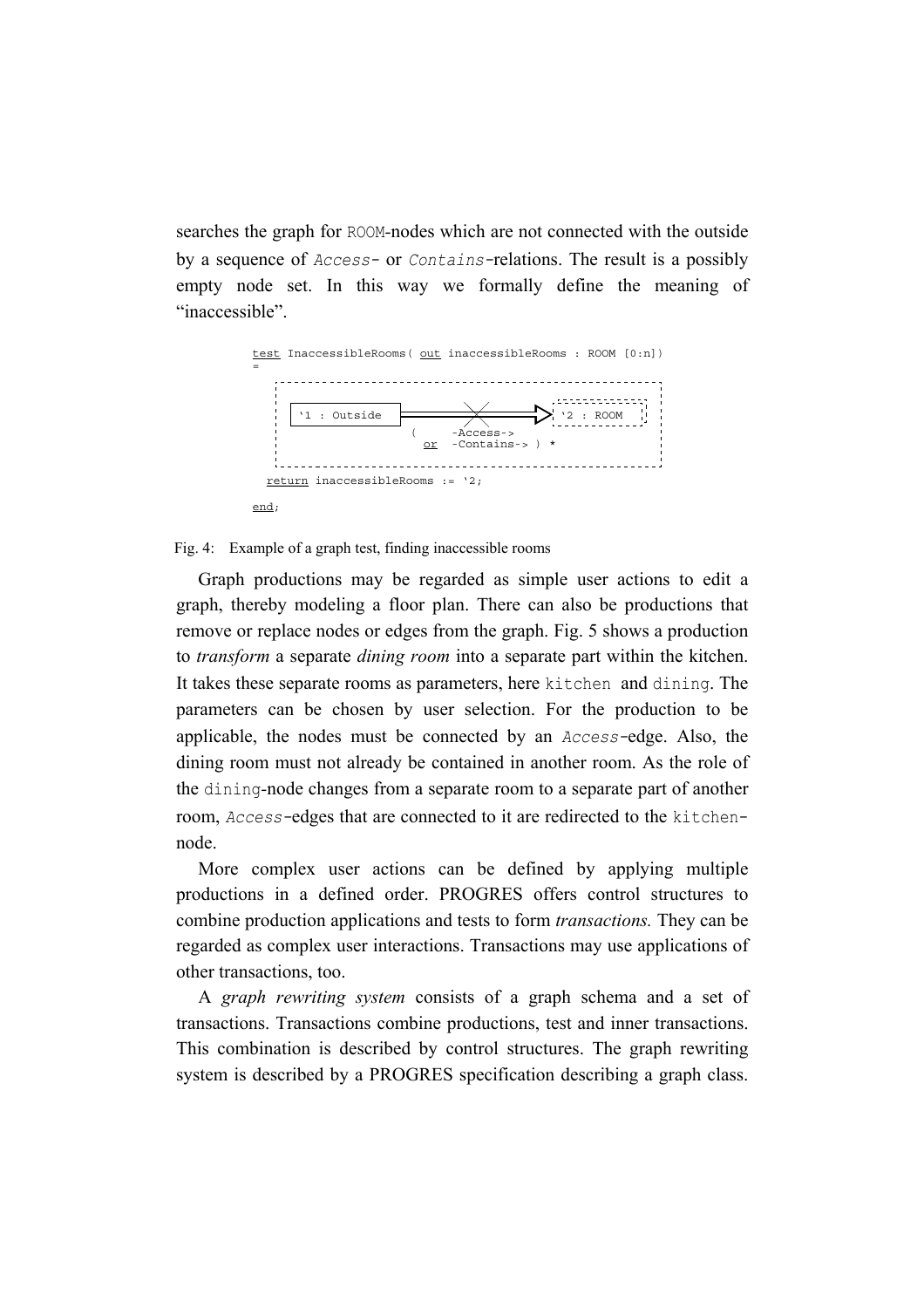searches the graph for ROOM*-*nodes which are not connected with the outside by a sequence of *Access-* or *Contains-*relations. The result is a possibly empty node set. In this way we formally define the meaning of "inaccessible".



#### Fig. 4: Example of a graph test, finding inaccessible rooms

Graph productions may be regarded as simple user actions to edit a graph, thereby modeling a floor plan. There can also be productions that remove or replace nodes or edges from the graph. Fig. 5 shows a production to *transform* a separate *dining room* into a separate part within the kitchen. It takes these separate rooms as parameters, here kitchen and dining. The parameters can be chosen by user selection. For the production to be applicable, the nodes must be connected by an *Access-*edge. Also, the dining room must not already be contained in another room. As the role of the dining*-*node changes from a separate room to a separate part of another room, *Access-*edges that are connected to it are redirected to the kitchennode.

More complex user actions can be defined by applying multiple productions in a defined order. PROGRES offers control structures to combine production applications and tests to form *transactions.* They can be regarded as complex user interactions. Transactions may use applications of other transactions, too.

A *graph rewriting system* consists of a graph schema and a set of transactions. Transactions combine productions, test and inner transactions. This combination is described by control structures. The graph rewriting system is described by a PROGRES specification describing a graph class.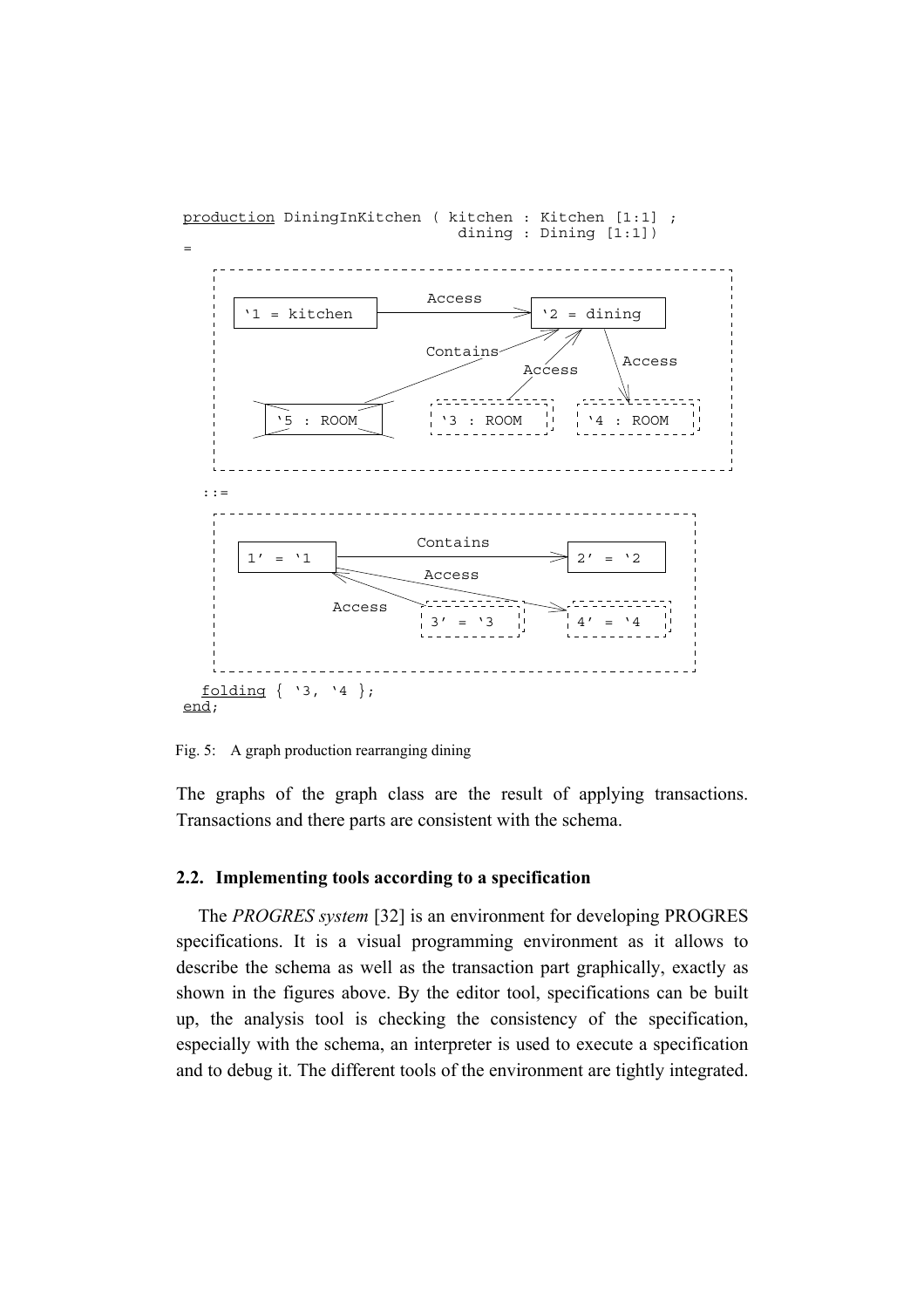

production DiningInKitchen ( kitchen : Kitchen [1:1] ; dining : Dining [1:1])

Fig. 5: A graph production rearranging dining

The graphs of the graph class are the result of applying transactions. Transactions and there parts are consistent with the schema.

# **2.2. Implementing tools according to a specification**

The *PROGRES system* [32] is an environment for developing PROGRES specifications. It is a visual programming environment as it allows to describe the schema as well as the transaction part graphically, exactly as shown in the figures above. By the editor tool, specifications can be built up, the analysis tool is checking the consistency of the specification, especially with the schema, an interpreter is used to execute a specification and to debug it. The different tools of the environment are tightly integrated.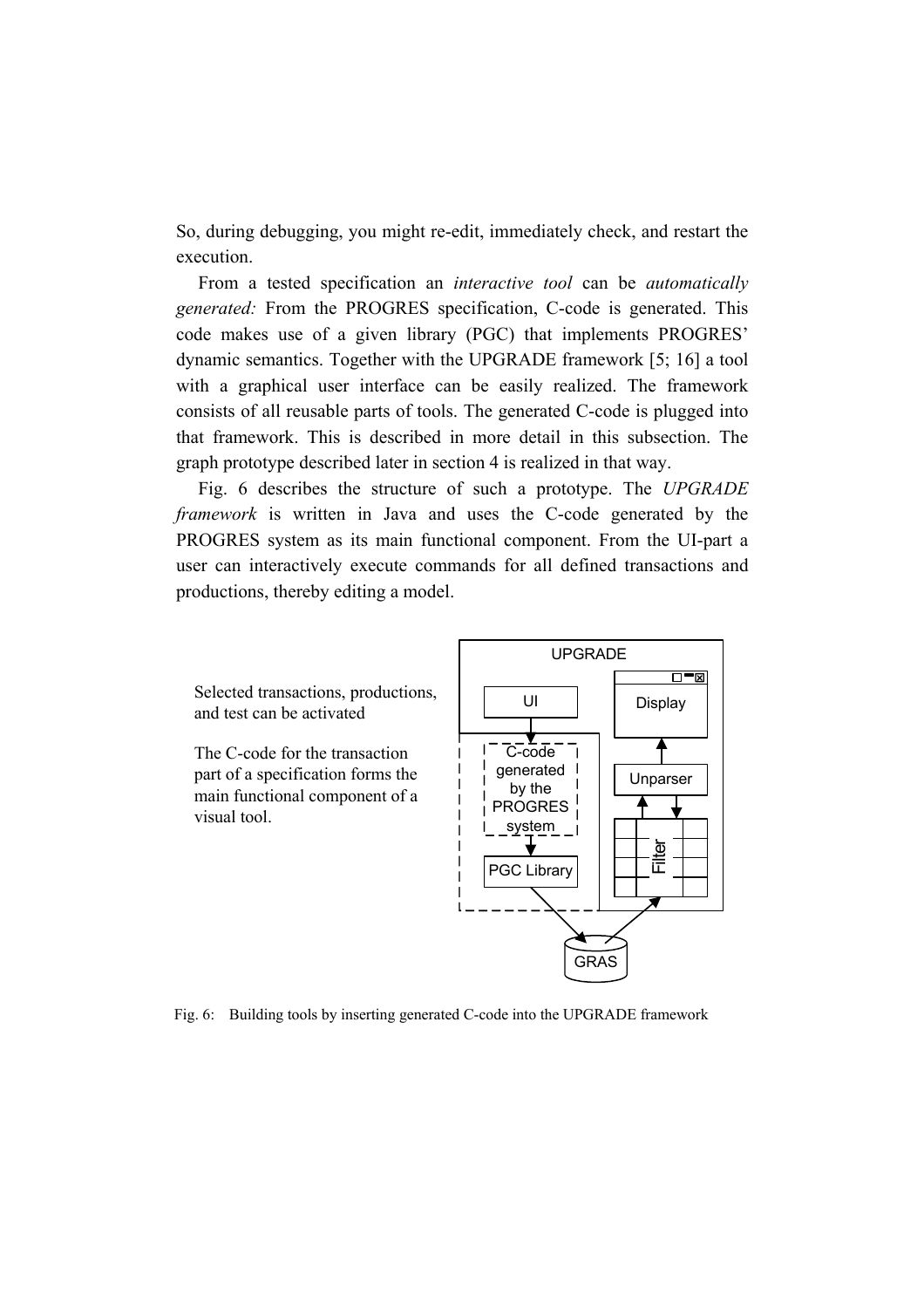So, during debugging, you might re-edit, immediately check, and restart the execution.

From a tested specification an *interactive tool* can be *automatically generated:* From the PROGRES specification, C-code is generated. This code makes use of a given library (PGC) that implements PROGRES' dynamic semantics. Together with the UPGRADE framework [5; 16] a tool with a graphical user interface can be easily realized. The framework consists of all reusable parts of tools. The generated C-code is plugged into that framework. This is described in more detail in this subsection. The graph prototype described later in section 4 is realized in that way.

Fig. 6 describes the structure of such a prototype. The *UPGRADE framework* is written in Java and uses the C-code generated by the PROGRES system as its main functional component. From the UI-part a user can interactively execute commands for all defined transactions and productions, thereby editing a model.

Selected transactions, productions, and test can be activated

The C-code for the transaction part of a specification forms the main functional component of a visual tool.



Fig. 6: Building tools by inserting generated C-code into the UPGRADE framework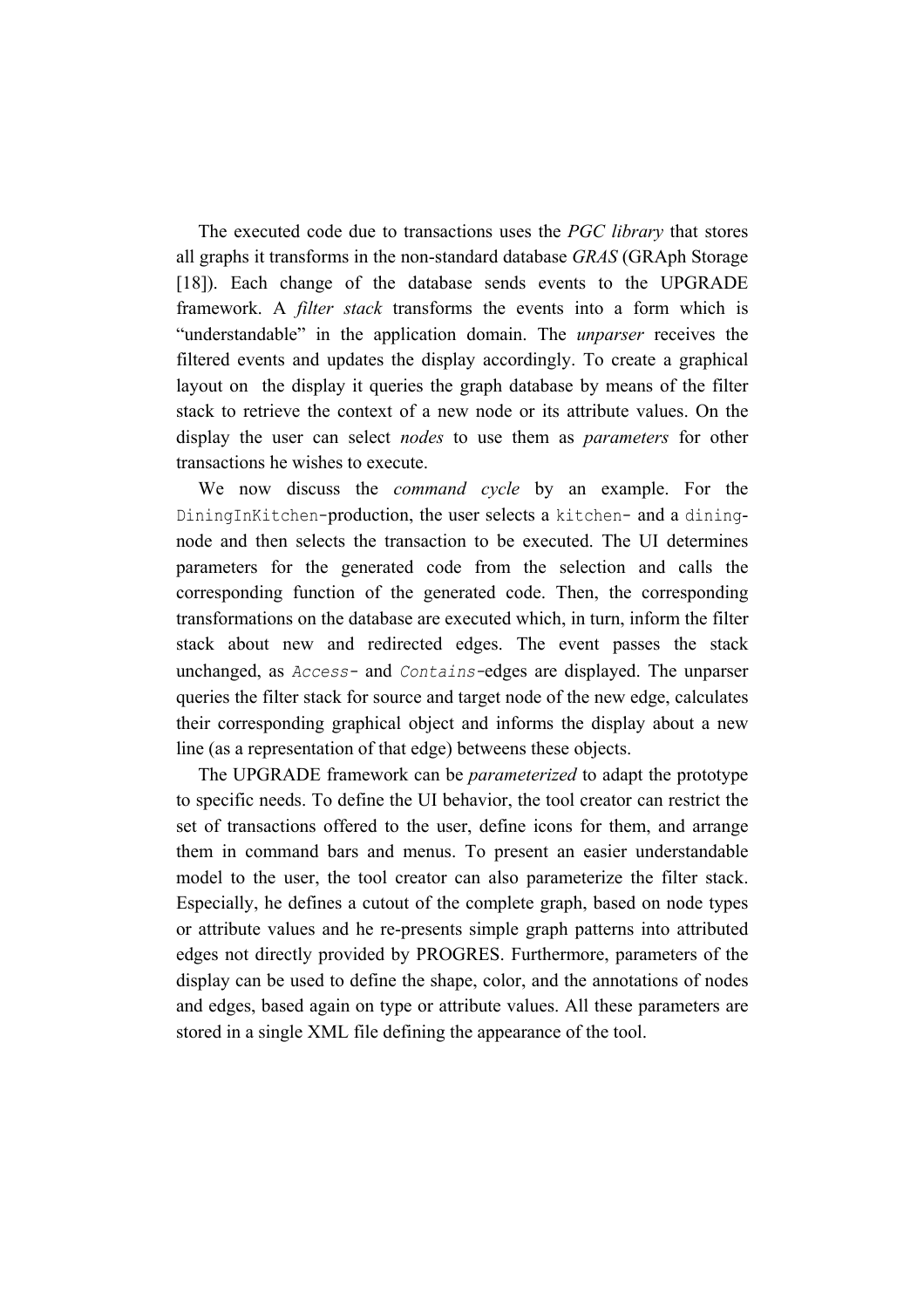The executed code due to transactions uses the *PGC library* that stores all graphs it transforms in the non-standard database *GRAS* (GRAph Storage [18]). Each change of the database sends events to the UPGRADE framework. A *filter stack* transforms the events into a form which is "understandable" in the application domain. The *unparser* receives the filtered events and updates the display accordingly. To create a graphical layout on the display it queries the graph database by means of the filter stack to retrieve the context of a new node or its attribute values. On the display the user can select *nodes* to use them as *parameters* for other transactions he wishes to execute.

We now discuss the *command cycle* by an example. For the DiningInKitchen-production, the user selects a kitchen- and a diningnode and then selects the transaction to be executed. The UI determines parameters for the generated code from the selection and calls the corresponding function of the generated code. Then, the corresponding transformations on the database are executed which, in turn, inform the filter stack about new and redirected edges. The event passes the stack unchanged, as *Access-* and *Contains-*edges are displayed. The unparser queries the filter stack for source and target node of the new edge, calculates their corresponding graphical object and informs the display about a new line (as a representation of that edge) betweens these objects.

The UPGRADE framework can be *parameterized* to adapt the prototype to specific needs. To define the UI behavior, the tool creator can restrict the set of transactions offered to the user, define icons for them, and arrange them in command bars and menus. To present an easier understandable model to the user, the tool creator can also parameterize the filter stack. Especially, he defines a cutout of the complete graph, based on node types or attribute values and he re-presents simple graph patterns into attributed edges not directly provided by PROGRES. Furthermore, parameters of the display can be used to define the shape, color, and the annotations of nodes and edges, based again on type or attribute values. All these parameters are stored in a single XML file defining the appearance of the tool.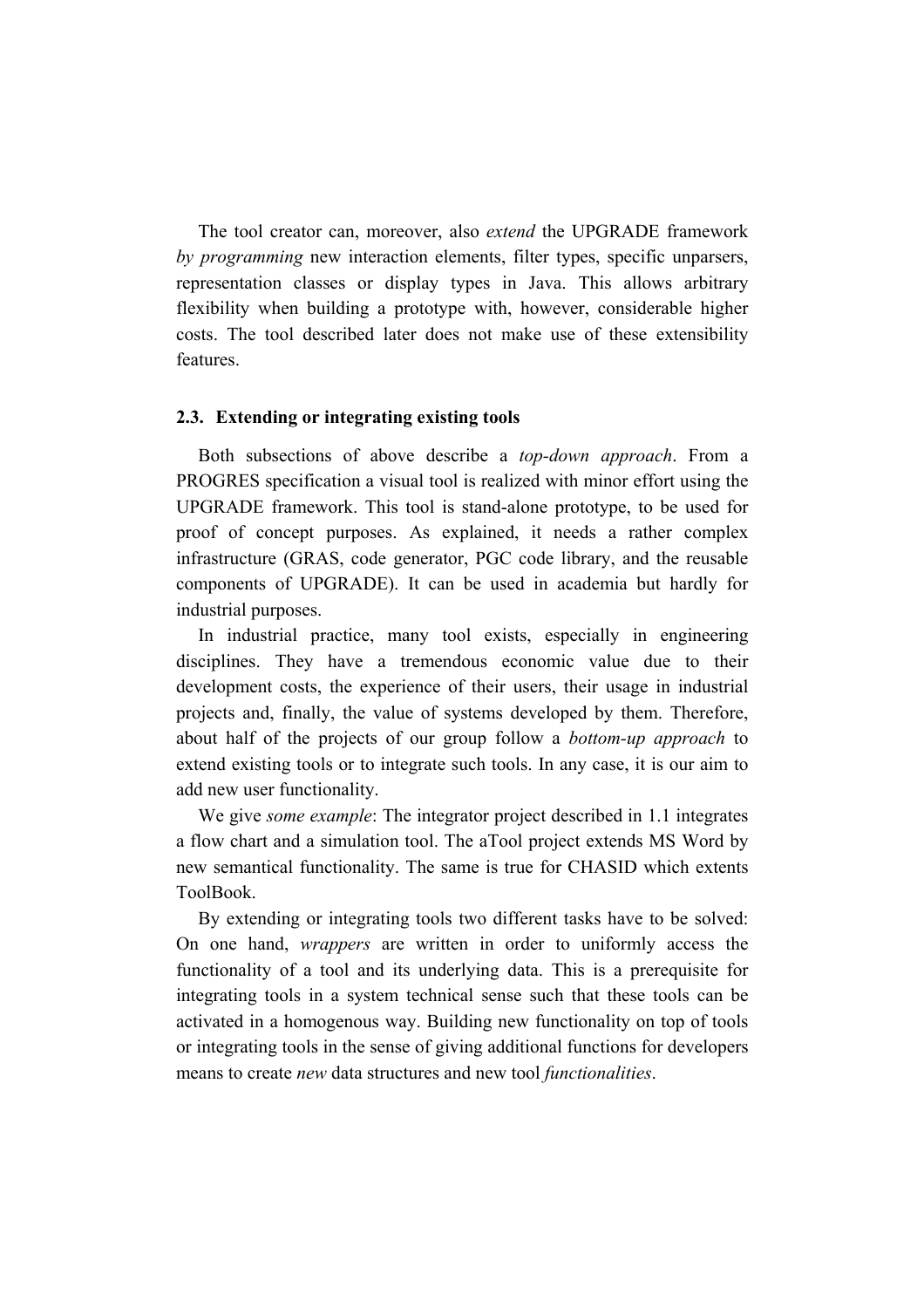The tool creator can, moreover, also *extend* the UPGRADE framework *by programming* new interaction elements, filter types, specific unparsers, representation classes or display types in Java. This allows arbitrary flexibility when building a prototype with, however, considerable higher costs. The tool described later does not make use of these extensibility features.

## **2.3. Extending or integrating existing tools**

Both subsections of above describe a *top-down approach*. From a PROGRES specification a visual tool is realized with minor effort using the UPGRADE framework. This tool is stand-alone prototype, to be used for proof of concept purposes. As explained, it needs a rather complex infrastructure (GRAS, code generator, PGC code library, and the reusable components of UPGRADE). It can be used in academia but hardly for industrial purposes.

In industrial practice, many tool exists, especially in engineering disciplines. They have a tremendous economic value due to their development costs, the experience of their users, their usage in industrial projects and, finally, the value of systems developed by them. Therefore, about half of the projects of our group follow a *bottom-up approach* to extend existing tools or to integrate such tools. In any case, it is our aim to add new user functionality.

We give *some example*: The integrator project described in 1.1 integrates a flow chart and a simulation tool. The aTool project extends MS Word by new semantical functionality. The same is true for CHASID which extents ToolBook.

By extending or integrating tools two different tasks have to be solved: On one hand, *wrappers* are written in order to uniformly access the functionality of a tool and its underlying data. This is a prerequisite for integrating tools in a system technical sense such that these tools can be activated in a homogenous way. Building new functionality on top of tools or integrating tools in the sense of giving additional functions for developers means to create *new* data structures and new tool *functionalities*.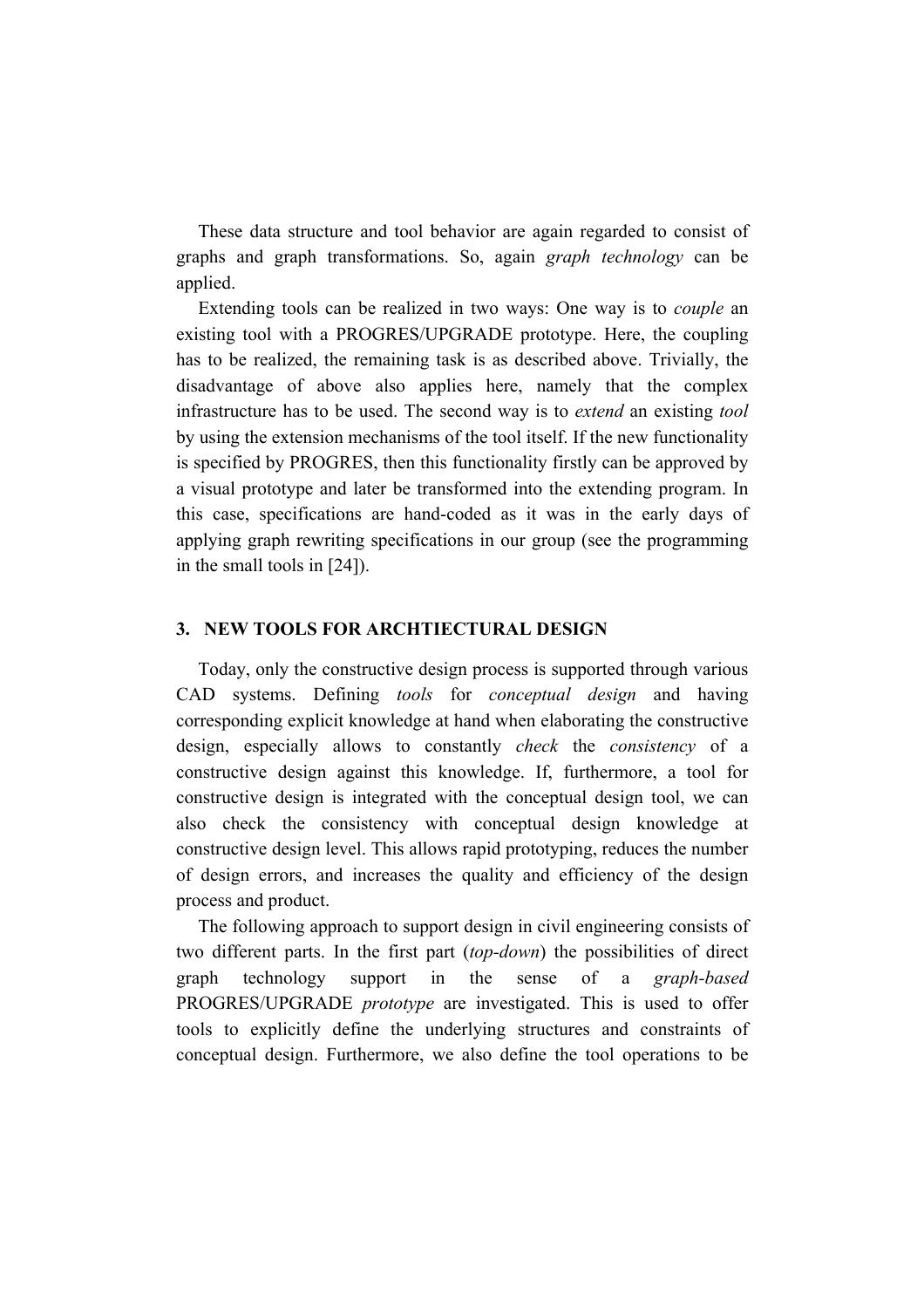These data structure and tool behavior are again regarded to consist of graphs and graph transformations. So, again *graph technology* can be applied.

Extending tools can be realized in two ways: One way is to *couple* an existing tool with a PROGRES/UPGRADE prototype. Here, the coupling has to be realized, the remaining task is as described above. Trivially, the disadvantage of above also applies here, namely that the complex infrastructure has to be used. The second way is to *extend* an existing *tool* by using the extension mechanisms of the tool itself. If the new functionality is specified by PROGRES, then this functionality firstly can be approved by a visual prototype and later be transformed into the extending program. In this case, specifications are hand-coded as it was in the early days of applying graph rewriting specifications in our group (see the programming in the small tools in [24]).

# **3. NEW TOOLS FOR ARCHTIECTURAL DESIGN**

Today, only the constructive design process is supported through various CAD systems. Defining *tools* for *conceptual design* and having corresponding explicit knowledge at hand when elaborating the constructive design, especially allows to constantly *check* the *consistency* of a constructive design against this knowledge. If, furthermore, a tool for constructive design is integrated with the conceptual design tool, we can also check the consistency with conceptual design knowledge at constructive design level. This allows rapid prototyping, reduces the number of design errors, and increases the quality and efficiency of the design process and product.

The following approach to support design in civil engineering consists of two different parts. In the first part (*top-down*) the possibilities of direct graph technology support in the sense of a *graph-based*  PROGRES/UPGRADE *prototype* are investigated. This is used to offer tools to explicitly define the underlying structures and constraints of conceptual design. Furthermore, we also define the tool operations to be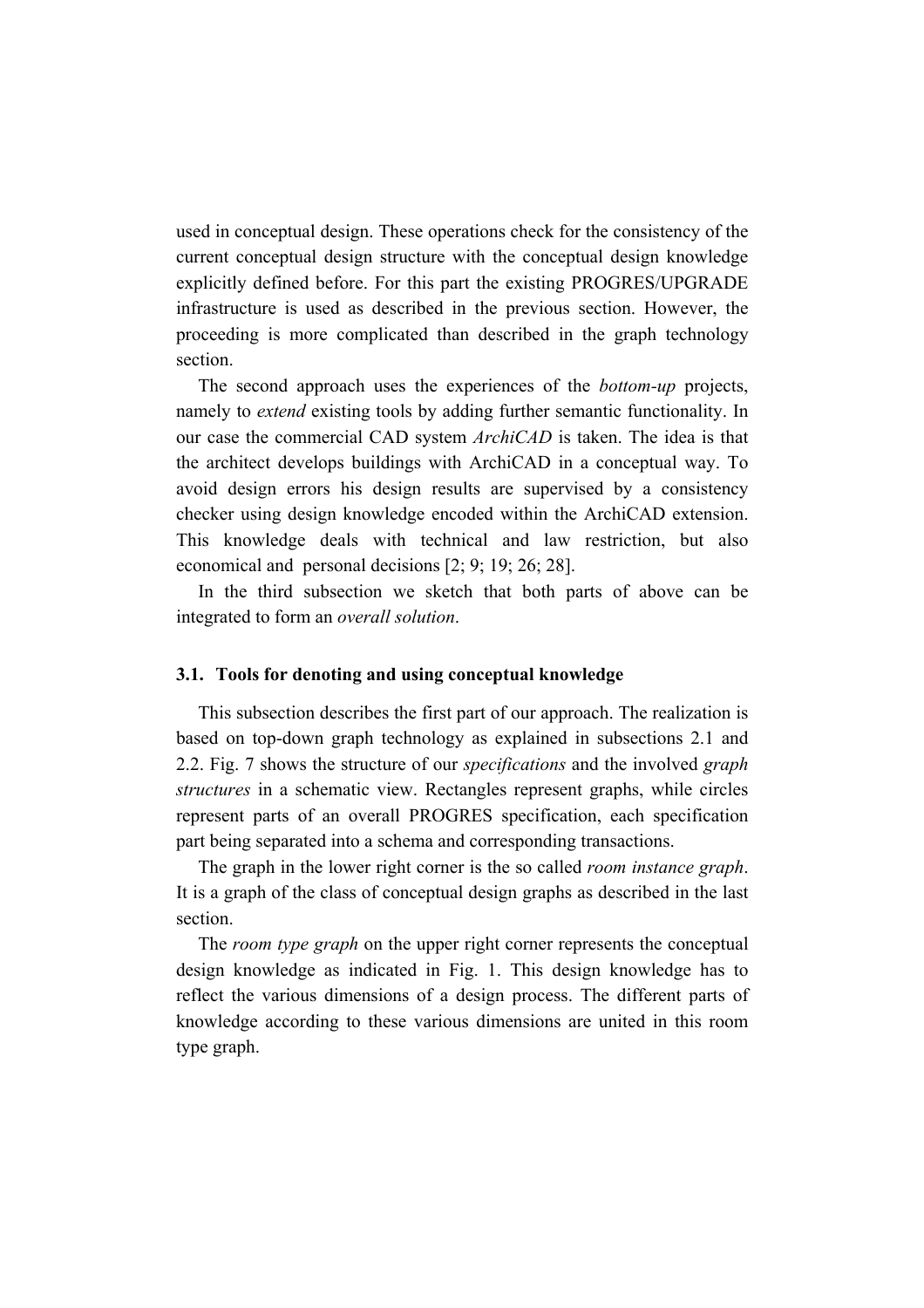used in conceptual design. These operations check for the consistency of the current conceptual design structure with the conceptual design knowledge explicitly defined before. For this part the existing PROGRES/UPGRADE infrastructure is used as described in the previous section. However, the proceeding is more complicated than described in the graph technology section.

The second approach uses the experiences of the *bottom-up* projects, namely to *extend* existing tools by adding further semantic functionality. In our case the commercial CAD system *ArchiCAD* is taken. The idea is that the architect develops buildings with ArchiCAD in a conceptual way. To avoid design errors his design results are supervised by a consistency checker using design knowledge encoded within the ArchiCAD extension. This knowledge deals with technical and law restriction, but also economical and personal decisions [2; 9; 19; 26; 28].

In the third subsection we sketch that both parts of above can be integrated to form an *overall solution*.

#### **3.1. Tools for denoting and using conceptual knowledge**

This subsection describes the first part of our approach. The realization is based on top-down graph technology as explained in subsections 2.1 and 2.2. Fig. 7 shows the structure of our *specifications* and the involved *graph structures* in a schematic view. Rectangles represent graphs, while circles represent parts of an overall PROGRES specification, each specification part being separated into a schema and corresponding transactions.

The graph in the lower right corner is the so called *room instance graph*. It is a graph of the class of conceptual design graphs as described in the last section.

The *room type graph* on the upper right corner represents the conceptual design knowledge as indicated in Fig. 1. This design knowledge has to reflect the various dimensions of a design process. The different parts of knowledge according to these various dimensions are united in this room type graph.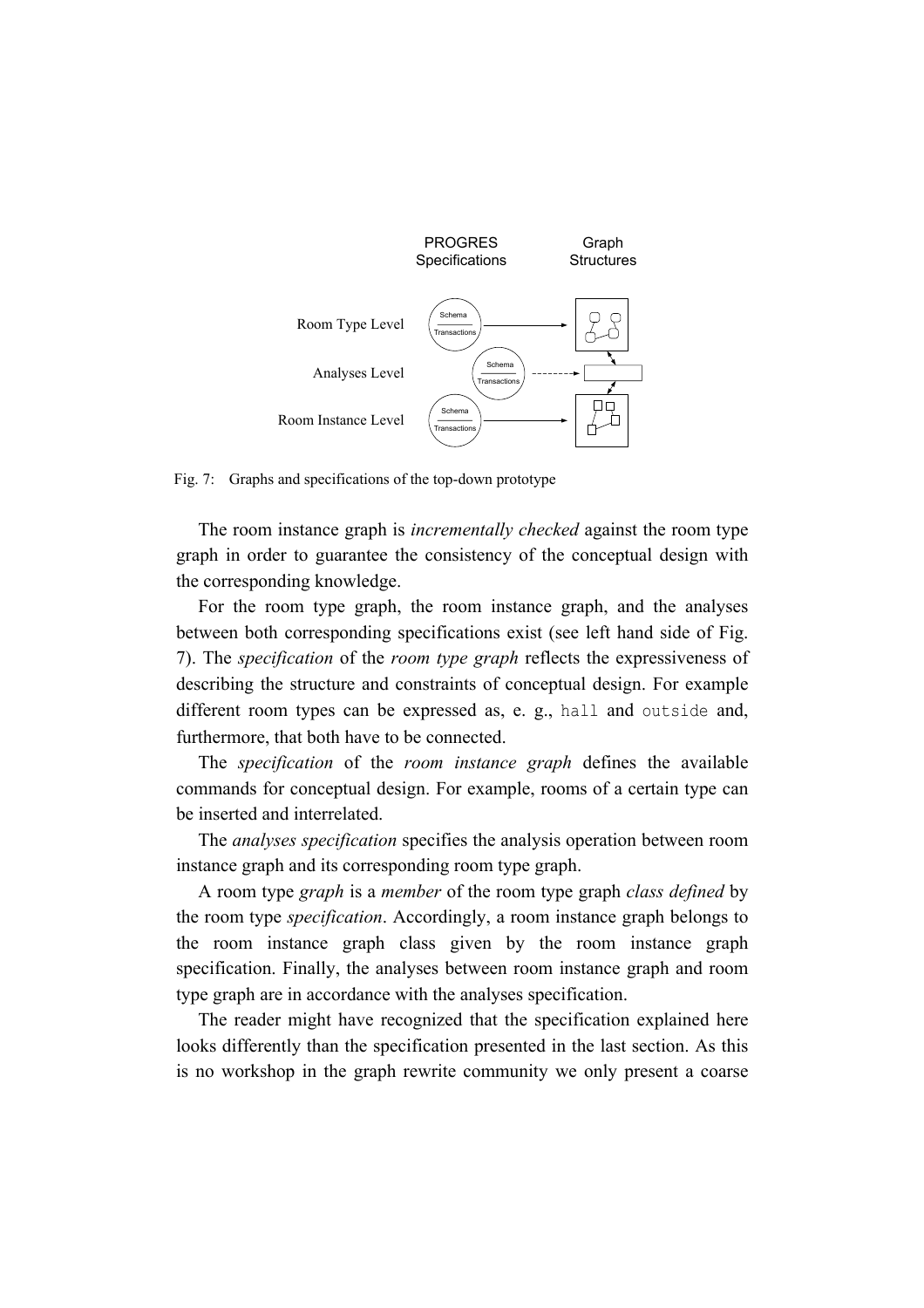

Fig. 7: Graphs and specifications of the top-down prototype

The room instance graph is *incrementally checked* against the room type graph in order to guarantee the consistency of the conceptual design with the corresponding knowledge.

For the room type graph, the room instance graph, and the analyses between both corresponding specifications exist (see left hand side of Fig. 7). The *specification* of the *room type graph* reflects the expressiveness of describing the structure and constraints of conceptual design. For example different room types can be expressed as, e. g., hall and outside and, furthermore, that both have to be connected.

The *specification* of the *room instance graph* defines the available commands for conceptual design. For example, rooms of a certain type can be inserted and interrelated.

The *analyses specification* specifies the analysis operation between room instance graph and its corresponding room type graph.

A room type *graph* is a *member* of the room type graph *class defined* by the room type *specification*. Accordingly, a room instance graph belongs to the room instance graph class given by the room instance graph specification. Finally, the analyses between room instance graph and room type graph are in accordance with the analyses specification.

The reader might have recognized that the specification explained here looks differently than the specification presented in the last section. As this is no workshop in the graph rewrite community we only present a coarse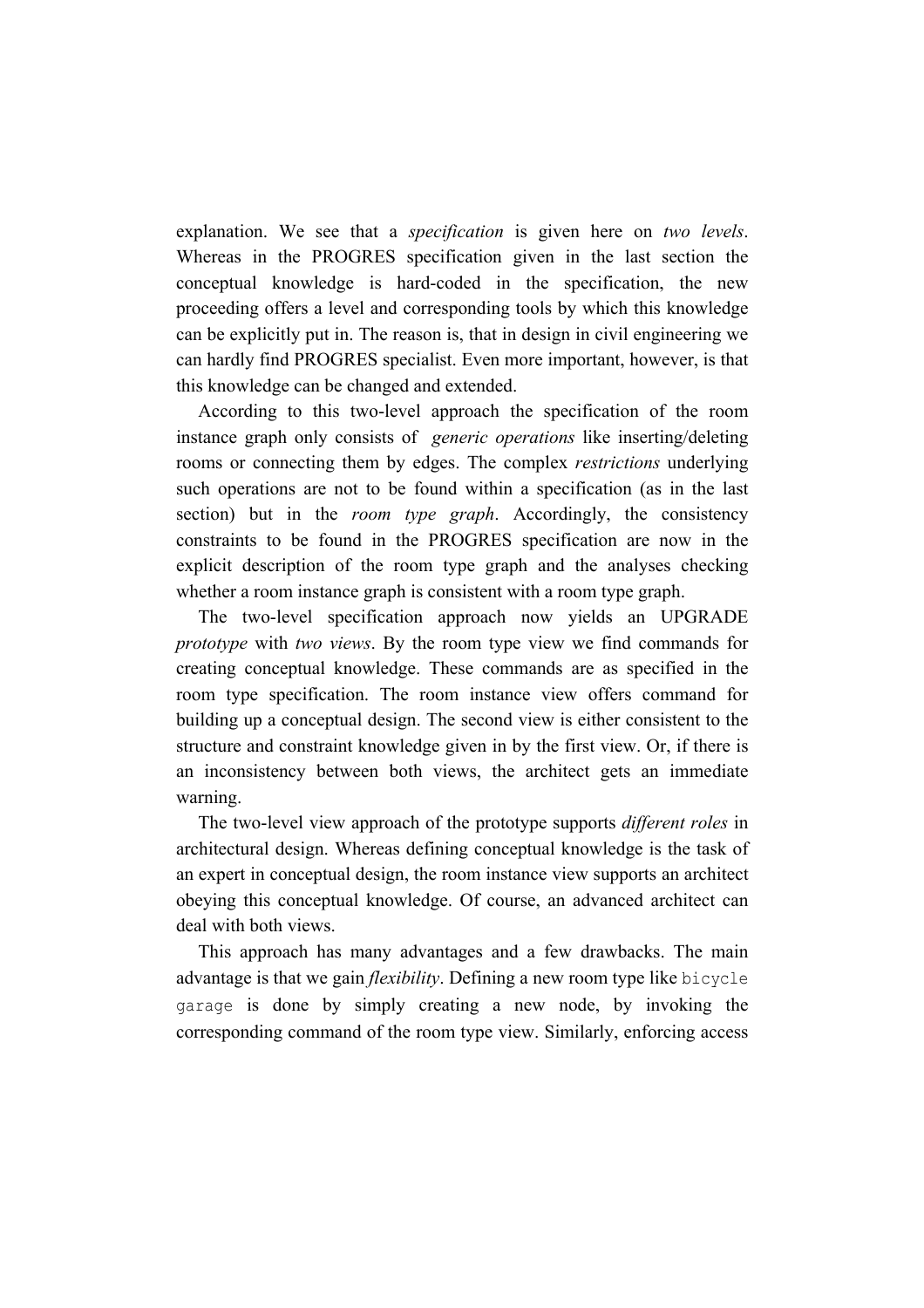explanation. We see that a *specification* is given here on *two levels*. Whereas in the PROGRES specification given in the last section the conceptual knowledge is hard-coded in the specification, the new proceeding offers a level and corresponding tools by which this knowledge can be explicitly put in. The reason is, that in design in civil engineering we can hardly find PROGRES specialist. Even more important, however, is that this knowledge can be changed and extended.

According to this two-level approach the specification of the room instance graph only consists of *generic operations* like inserting/deleting rooms or connecting them by edges. The complex *restrictions* underlying such operations are not to be found within a specification (as in the last section) but in the *room type graph*. Accordingly, the consistency constraints to be found in the PROGRES specification are now in the explicit description of the room type graph and the analyses checking whether a room instance graph is consistent with a room type graph.

The two-level specification approach now yields an UPGRADE *prototype* with *two views*. By the room type view we find commands for creating conceptual knowledge. These commands are as specified in the room type specification. The room instance view offers command for building up a conceptual design. The second view is either consistent to the structure and constraint knowledge given in by the first view. Or, if there is an inconsistency between both views, the architect gets an immediate warning.

The two-level view approach of the prototype supports *different roles* in architectural design. Whereas defining conceptual knowledge is the task of an expert in conceptual design, the room instance view supports an architect obeying this conceptual knowledge. Of course, an advanced architect can deal with both views.

This approach has many advantages and a few drawbacks. The main advantage is that we gain *flexibility*. Defining a new room type like bicycle garage is done by simply creating a new node, by invoking the corresponding command of the room type view. Similarly, enforcing access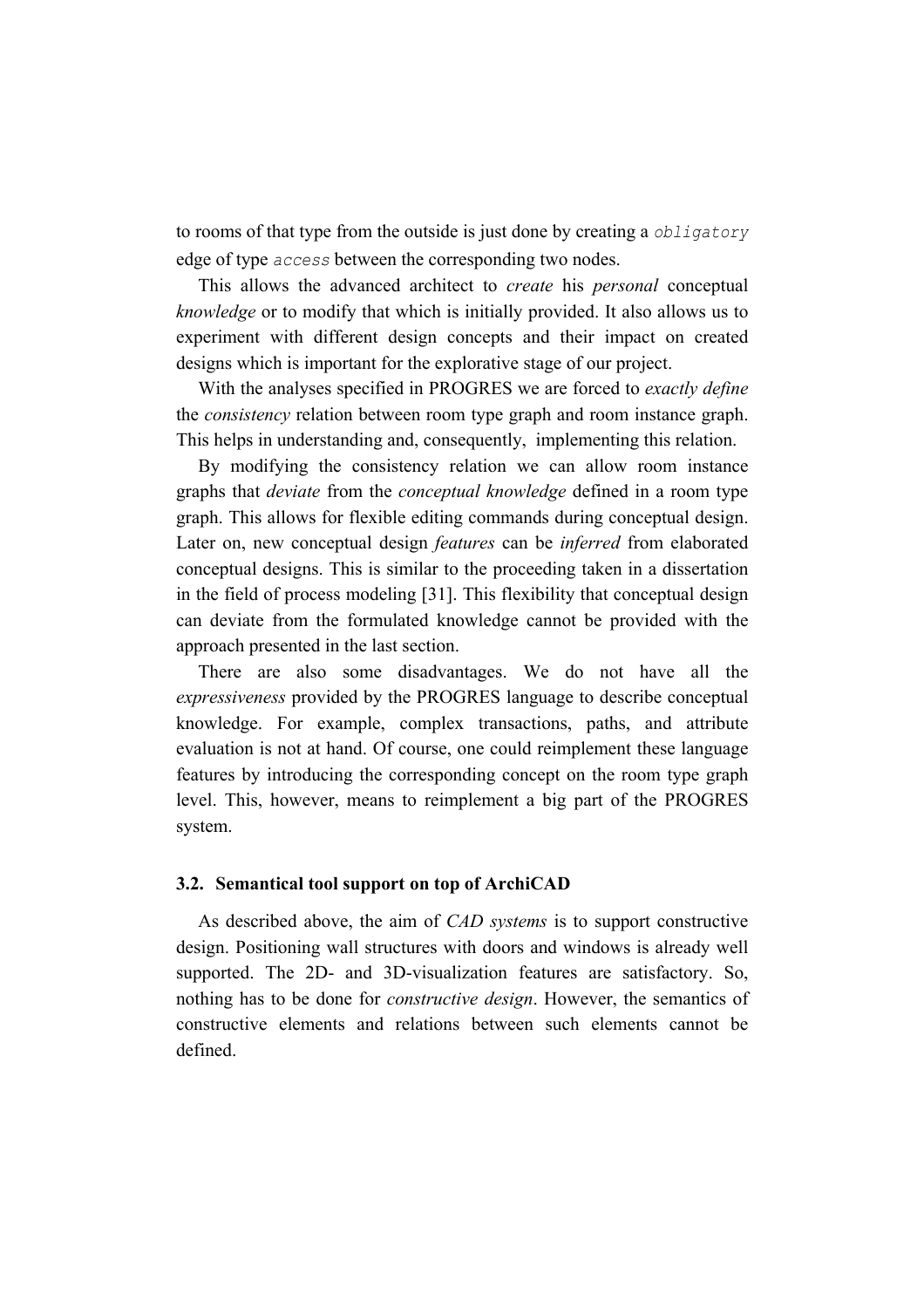to rooms of that type from the outside is just done by creating a *obligatory* edge of type *access* between the corresponding two nodes.

This allows the advanced architect to *create* his *personal* conceptual *knowledge* or to modify that which is initially provided. It also allows us to experiment with different design concepts and their impact on created designs which is important for the explorative stage of our project.

With the analyses specified in PROGRES we are forced to *exactly define* the *consistency* relation between room type graph and room instance graph. This helps in understanding and, consequently, implementing this relation.

By modifying the consistency relation we can allow room instance graphs that *deviate* from the *conceptual knowledge* defined in a room type graph. This allows for flexible editing commands during conceptual design. Later on, new conceptual design *features* can be *inferred* from elaborated conceptual designs. This is similar to the proceeding taken in a dissertation in the field of process modeling [31]. This flexibility that conceptual design can deviate from the formulated knowledge cannot be provided with the approach presented in the last section.

There are also some disadvantages. We do not have all the *expressiveness* provided by the PROGRES language to describe conceptual knowledge. For example, complex transactions, paths, and attribute evaluation is not at hand. Of course, one could reimplement these language features by introducing the corresponding concept on the room type graph level. This, however, means to reimplement a big part of the PROGRES system.

# **3.2. Semantical tool support on top of ArchiCAD**

As described above, the aim of *CAD systems* is to support constructive design. Positioning wall structures with doors and windows is already well supported. The 2D- and 3D-visualization features are satisfactory. So, nothing has to be done for *constructive design*. However, the semantics of constructive elements and relations between such elements cannot be defined.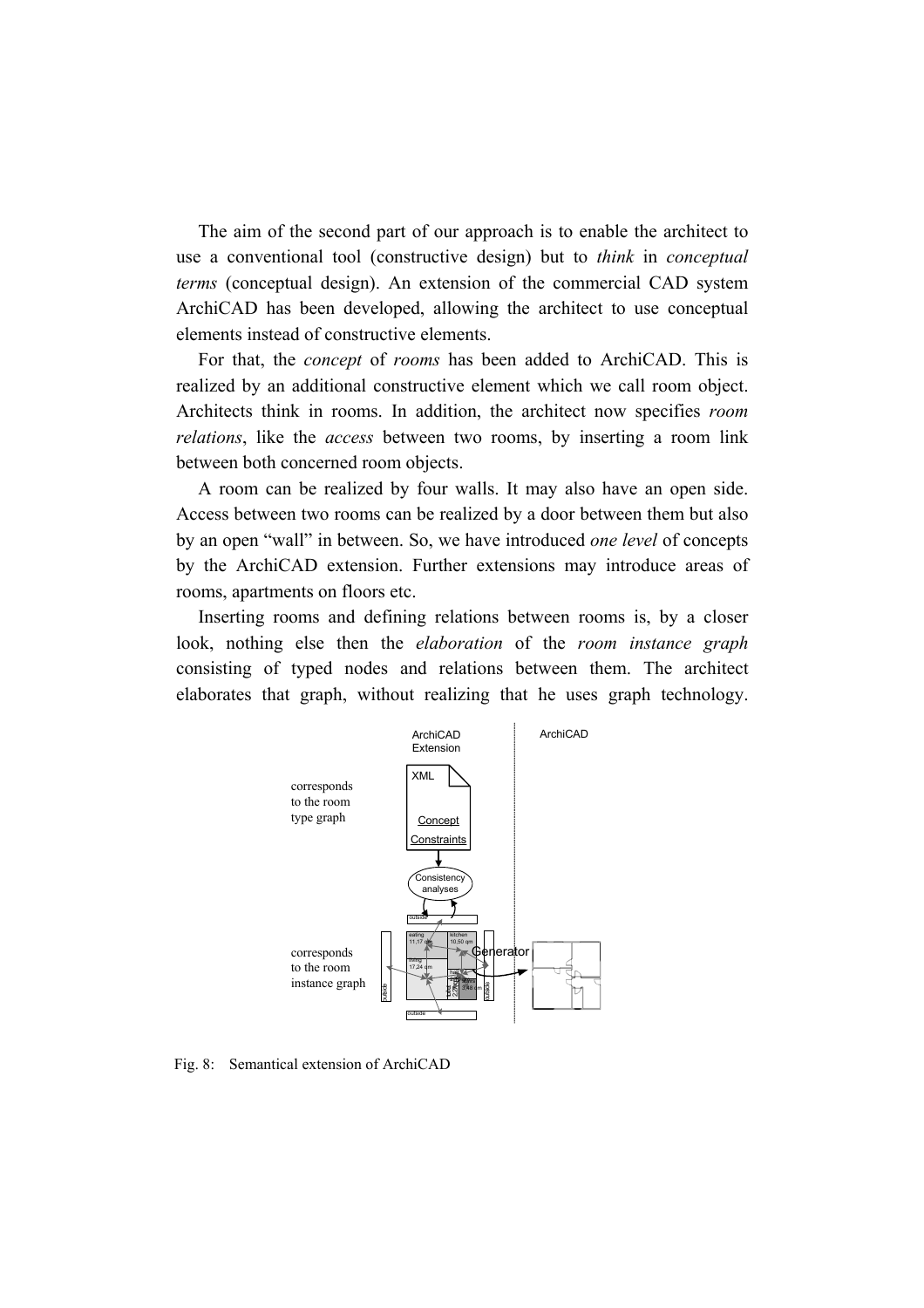The aim of the second part of our approach is to enable the architect to use a conventional tool (constructive design) but to *think* in *conceptual terms* (conceptual design). An extension of the commercial CAD system ArchiCAD has been developed, allowing the architect to use conceptual elements instead of constructive elements.

For that, the *concept* of *rooms* has been added to ArchiCAD. This is realized by an additional constructive element which we call room object. Architects think in rooms. In addition, the architect now specifies *room relations*, like the *access* between two rooms, by inserting a room link between both concerned room objects.

A room can be realized by four walls. It may also have an open side. Access between two rooms can be realized by a door between them but also by an open "wall" in between. So, we have introduced *one level* of concepts by the ArchiCAD extension. Further extensions may introduce areas of rooms, apartments on floors etc.

Inserting rooms and defining relations between rooms is, by a closer look, nothing else then the *elaboration* of the *room instance graph*  consisting of typed nodes and relations between them. The architect elaborates that graph, without realizing that he uses graph technology.



Fig. 8: Semantical extension of ArchiCAD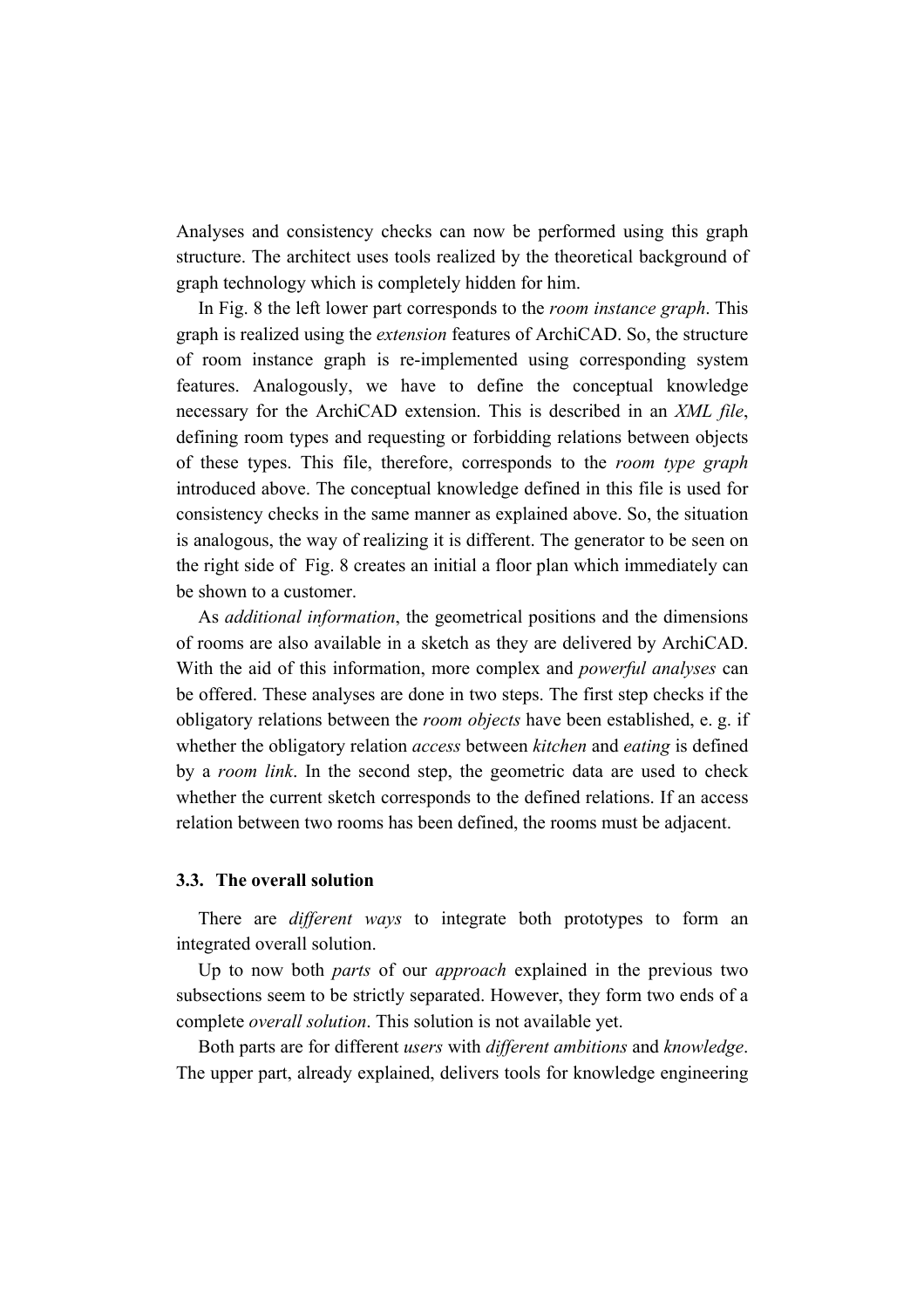Analyses and consistency checks can now be performed using this graph structure. The architect uses tools realized by the theoretical background of graph technology which is completely hidden for him.

In Fig. 8 the left lower part corresponds to the *room instance graph*. This graph is realized using the *extension* features of ArchiCAD. So, the structure of room instance graph is re-implemented using corresponding system features. Analogously, we have to define the conceptual knowledge necessary for the ArchiCAD extension. This is described in an *XML file*, defining room types and requesting or forbidding relations between objects of these types. This file, therefore, corresponds to the *room type graph* introduced above. The conceptual knowledge defined in this file is used for consistency checks in the same manner as explained above. So, the situation is analogous, the way of realizing it is different. The generator to be seen on the right side of Fig. 8 creates an initial a floor plan which immediately can be shown to a customer.

As *additional information*, the geometrical positions and the dimensions of rooms are also available in a sketch as they are delivered by ArchiCAD. With the aid of this information, more complex and *powerful analyses* can be offered. These analyses are done in two steps. The first step checks if the obligatory relations between the *room objects* have been established, e. g. if whether the obligatory relation *access* between *kitchen* and *eating* is defined by a *room link*. In the second step, the geometric data are used to check whether the current sketch corresponds to the defined relations. If an access relation between two rooms has been defined, the rooms must be adjacent.

#### **3.3. The overall solution**

There are *different ways* to integrate both prototypes to form an integrated overall solution.

Up to now both *parts* of our *approach* explained in the previous two subsections seem to be strictly separated. However, they form two ends of a complete *overall solution*. This solution is not available yet.

Both parts are for different *users* with *different ambitions* and *knowledge*. The upper part, already explained, delivers tools for knowledge engineering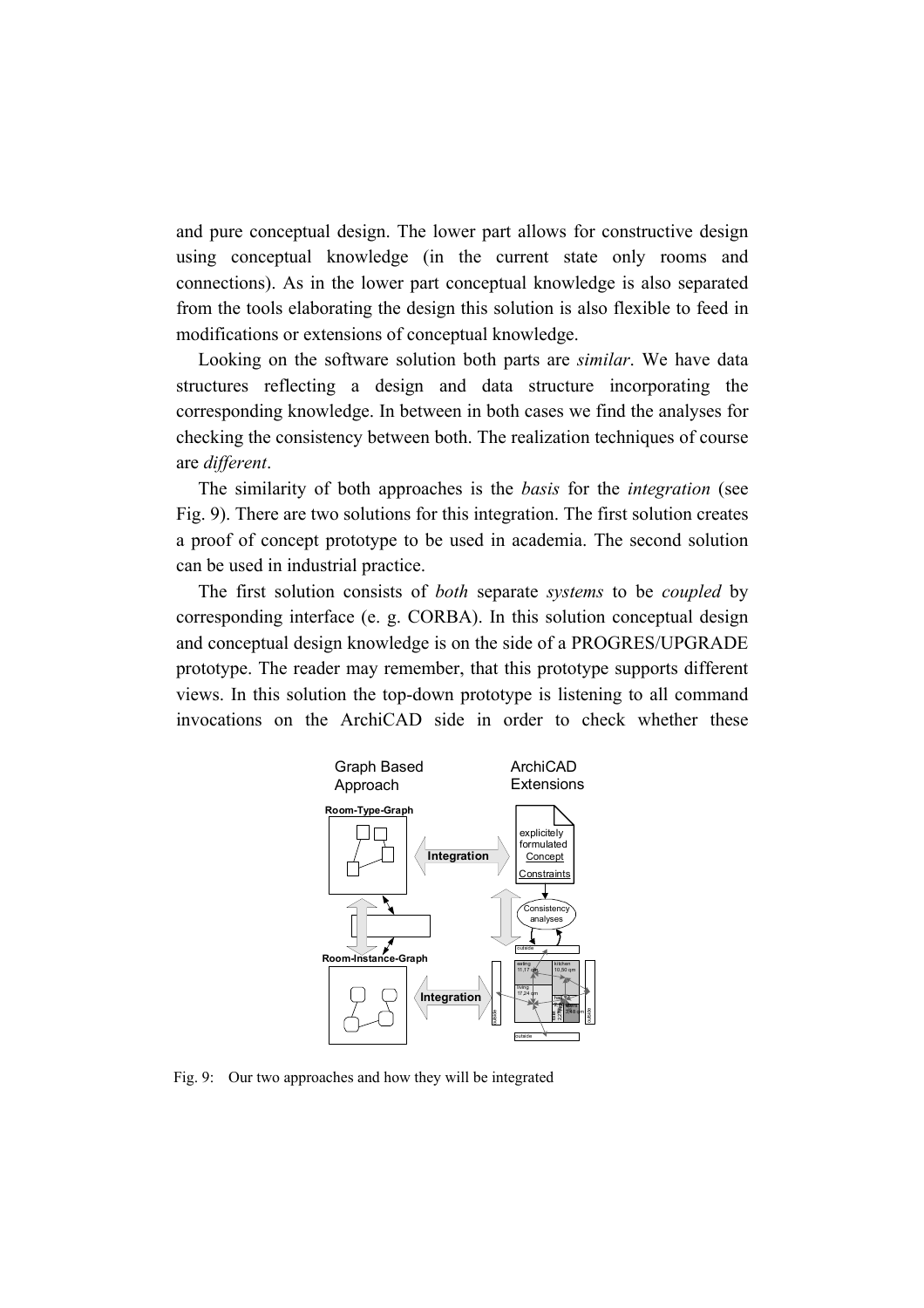and pure conceptual design. The lower part allows for constructive design using conceptual knowledge (in the current state only rooms and connections). As in the lower part conceptual knowledge is also separated from the tools elaborating the design this solution is also flexible to feed in modifications or extensions of conceptual knowledge.

Looking on the software solution both parts are *similar*. We have data structures reflecting a design and data structure incorporating the corresponding knowledge. In between in both cases we find the analyses for checking the consistency between both. The realization techniques of course are *different*.

The similarity of both approaches is the *basis* for the *integration* (see Fig. 9). There are two solutions for this integration. The first solution creates a proof of concept prototype to be used in academia. The second solution can be used in industrial practice.

The first solution consists of *both* separate *systems* to be *coupled* by corresponding interface (e. g. CORBA). In this solution conceptual design and conceptual design knowledge is on the side of a PROGRES/UPGRADE prototype. The reader may remember, that this prototype supports different views. In this solution the top-down prototype is listening to all command invocations on the ArchiCAD side in order to check whether these



Fig. 9: Our two approaches and how they will be integrated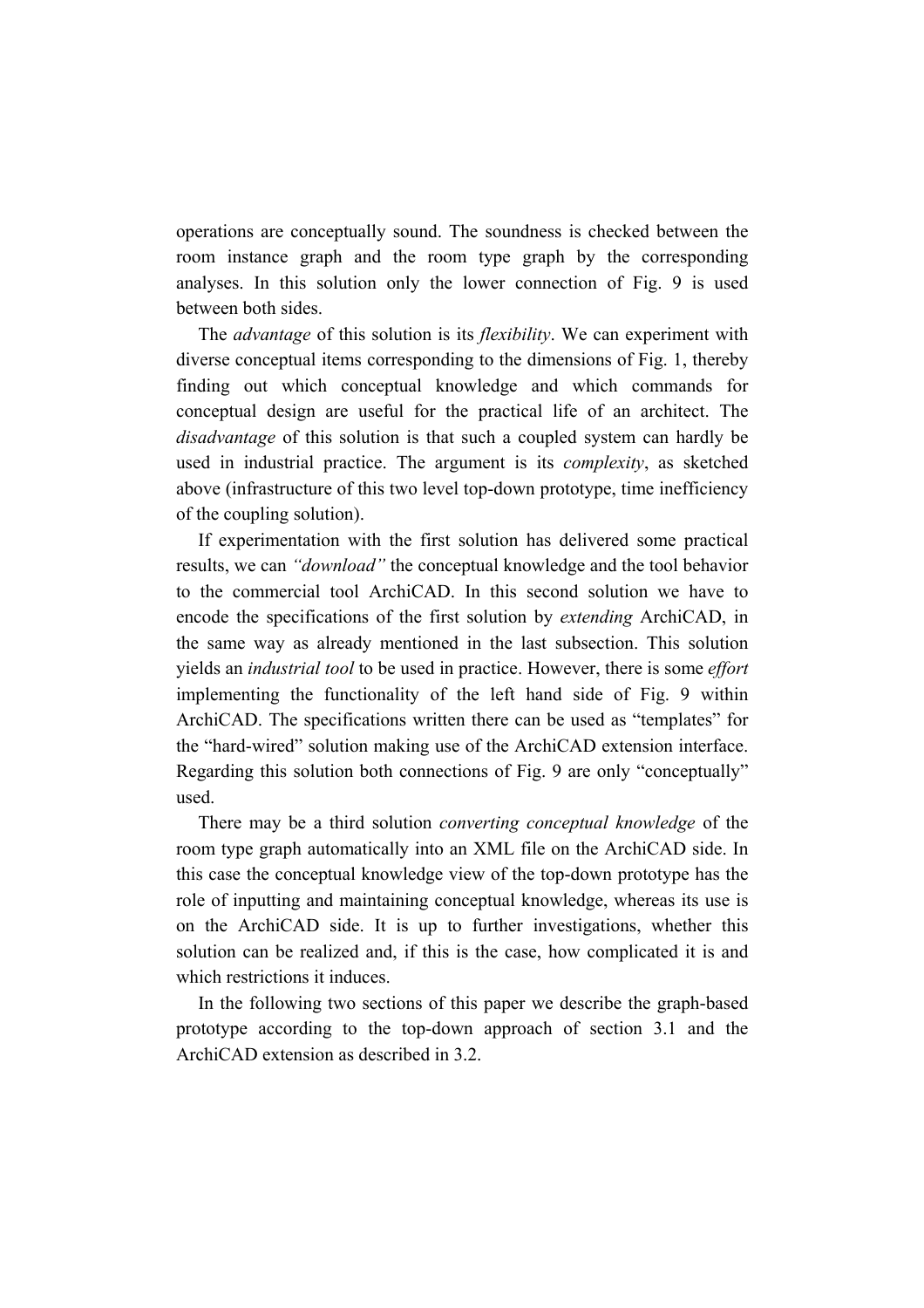operations are conceptually sound. The soundness is checked between the room instance graph and the room type graph by the corresponding analyses. In this solution only the lower connection of Fig. 9 is used between both sides.

The *advantage* of this solution is its *flexibility*. We can experiment with diverse conceptual items corresponding to the dimensions of Fig. 1, thereby finding out which conceptual knowledge and which commands for conceptual design are useful for the practical life of an architect. The *disadvantage* of this solution is that such a coupled system can hardly be used in industrial practice. The argument is its *complexity*, as sketched above (infrastructure of this two level top-down prototype, time inefficiency of the coupling solution).

If experimentation with the first solution has delivered some practical results, we can *"download"* the conceptual knowledge and the tool behavior to the commercial tool ArchiCAD. In this second solution we have to encode the specifications of the first solution by *extending* ArchiCAD, in the same way as already mentioned in the last subsection. This solution yields an *industrial tool* to be used in practice. However, there is some *effort* implementing the functionality of the left hand side of Fig. 9 within ArchiCAD. The specifications written there can be used as "templates" for the "hard-wired" solution making use of the ArchiCAD extension interface. Regarding this solution both connections of Fig. 9 are only "conceptually" used.

There may be a third solution *converting conceptual knowledge* of the room type graph automatically into an XML file on the ArchiCAD side. In this case the conceptual knowledge view of the top-down prototype has the role of inputting and maintaining conceptual knowledge, whereas its use is on the ArchiCAD side. It is up to further investigations, whether this solution can be realized and, if this is the case, how complicated it is and which restrictions it induces.

In the following two sections of this paper we describe the graph-based prototype according to the top-down approach of section 3.1 and the ArchiCAD extension as described in 3.2.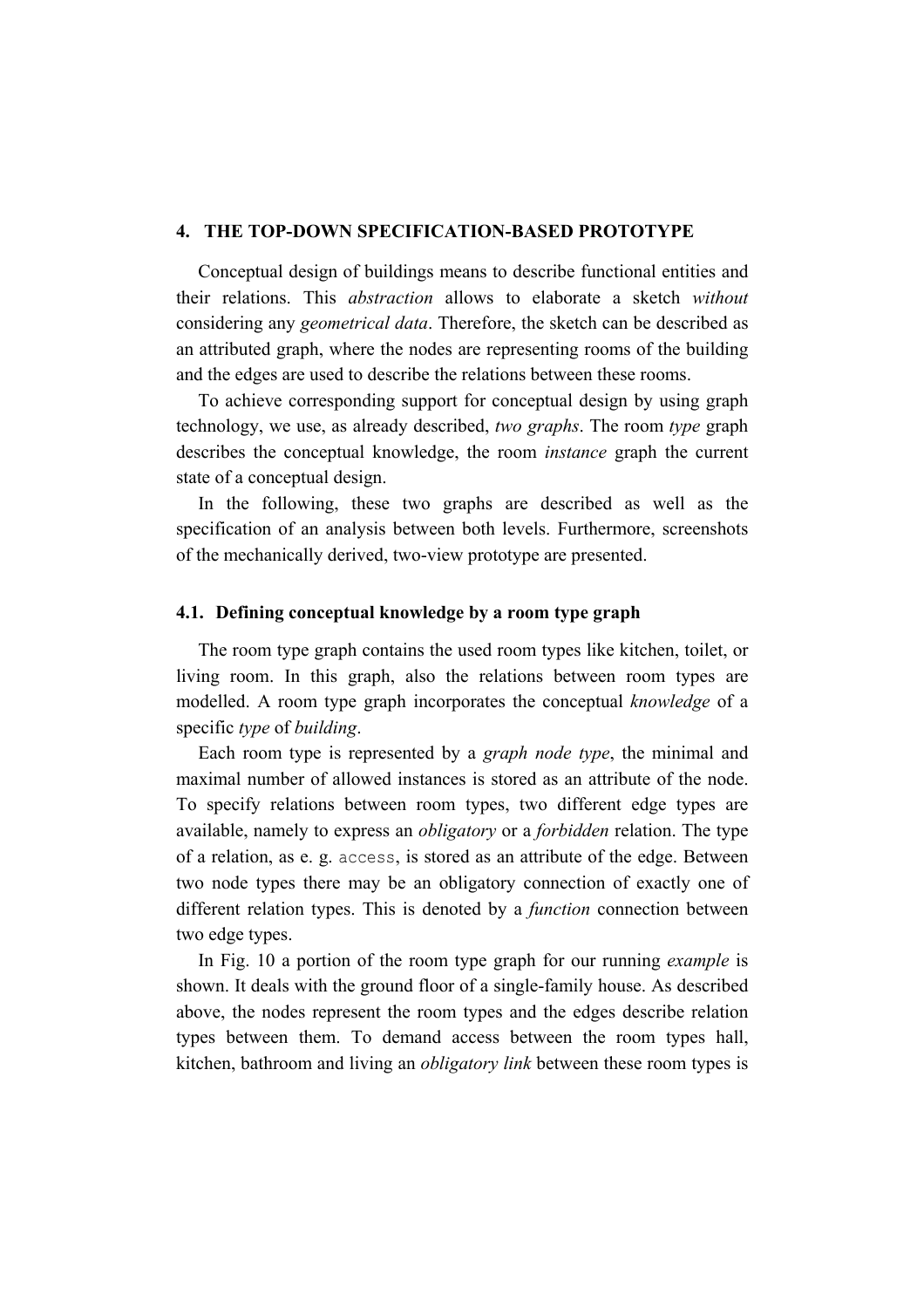#### **4. THE TOP-DOWN SPECIFICATION-BASED PROTOTYPE**

Conceptual design of buildings means to describe functional entities and their relations. This *abstraction* allows to elaborate a sketch *without* considering any *geometrical data*. Therefore, the sketch can be described as an attributed graph, where the nodes are representing rooms of the building and the edges are used to describe the relations between these rooms.

To achieve corresponding support for conceptual design by using graph technology, we use, as already described, *two graphs*. The room *type* graph describes the conceptual knowledge, the room *instance* graph the current state of a conceptual design.

In the following, these two graphs are described as well as the specification of an analysis between both levels. Furthermore, screenshots of the mechanically derived, two-view prototype are presented.

#### **4.1. Defining conceptual knowledge by a room type graph**

The room type graph contains the used room types like kitchen, toilet, or living room. In this graph, also the relations between room types are modelled. A room type graph incorporates the conceptual *knowledge* of a specific *type* of *building*.

Each room type is represented by a *graph node type*, the minimal and maximal number of allowed instances is stored as an attribute of the node. To specify relations between room types, two different edge types are available, namely to express an *obligatory* or a *forbidden* relation. The type of a relation, as e. g. access, is stored as an attribute of the edge. Between two node types there may be an obligatory connection of exactly one of different relation types. This is denoted by a *function* connection between two edge types.

In Fig. 10 a portion of the room type graph for our running *example* is shown. It deals with the ground floor of a single-family house. As described above, the nodes represent the room types and the edges describe relation types between them. To demand access between the room types hall, kitchen, bathroom and living an *obligatory link* between these room types is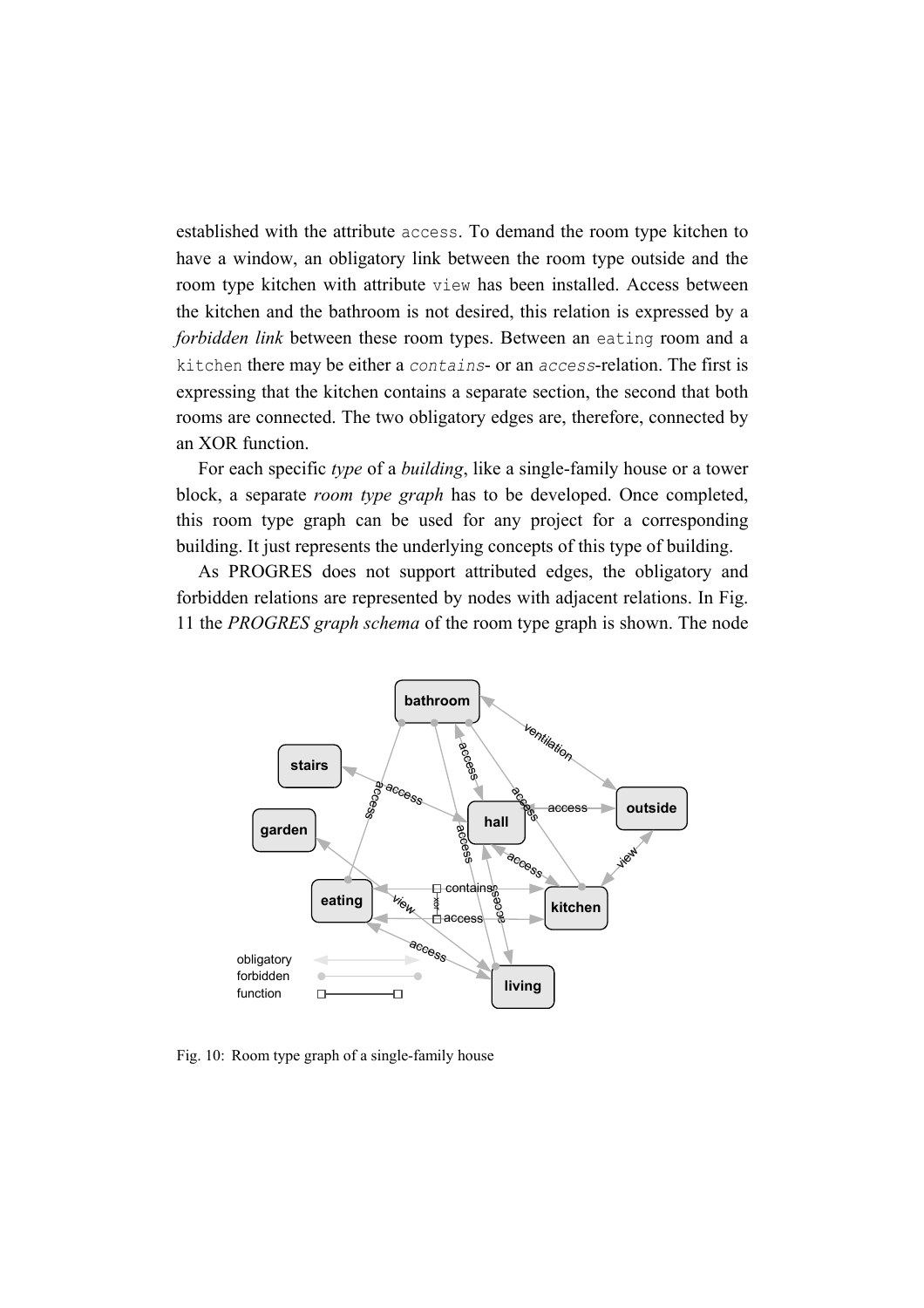established with the attribute access. To demand the room type kitchen to have a window, an obligatory link between the room type outside and the room type kitchen with attribute view has been installed. Access between the kitchen and the bathroom is not desired, this relation is expressed by a *forbidden link* between these room types. Between an eating room and a kitchen there may be either a *contains*- or an *access*-relation. The first is expressing that the kitchen contains a separate section, the second that both rooms are connected. The two obligatory edges are, therefore, connected by an XOR function.

For each specific *type* of a *building*, like a single-family house or a tower block, a separate *room type graph* has to be developed. Once completed, this room type graph can be used for any project for a corresponding building. It just represents the underlying concepts of this type of building.

As PROGRES does not support attributed edges, the obligatory and forbidden relations are represented by nodes with adjacent relations. In Fig. 11 the *PROGRES graph schema* of the room type graph is shown. The node



Fig. 10: Room type graph of a single-family house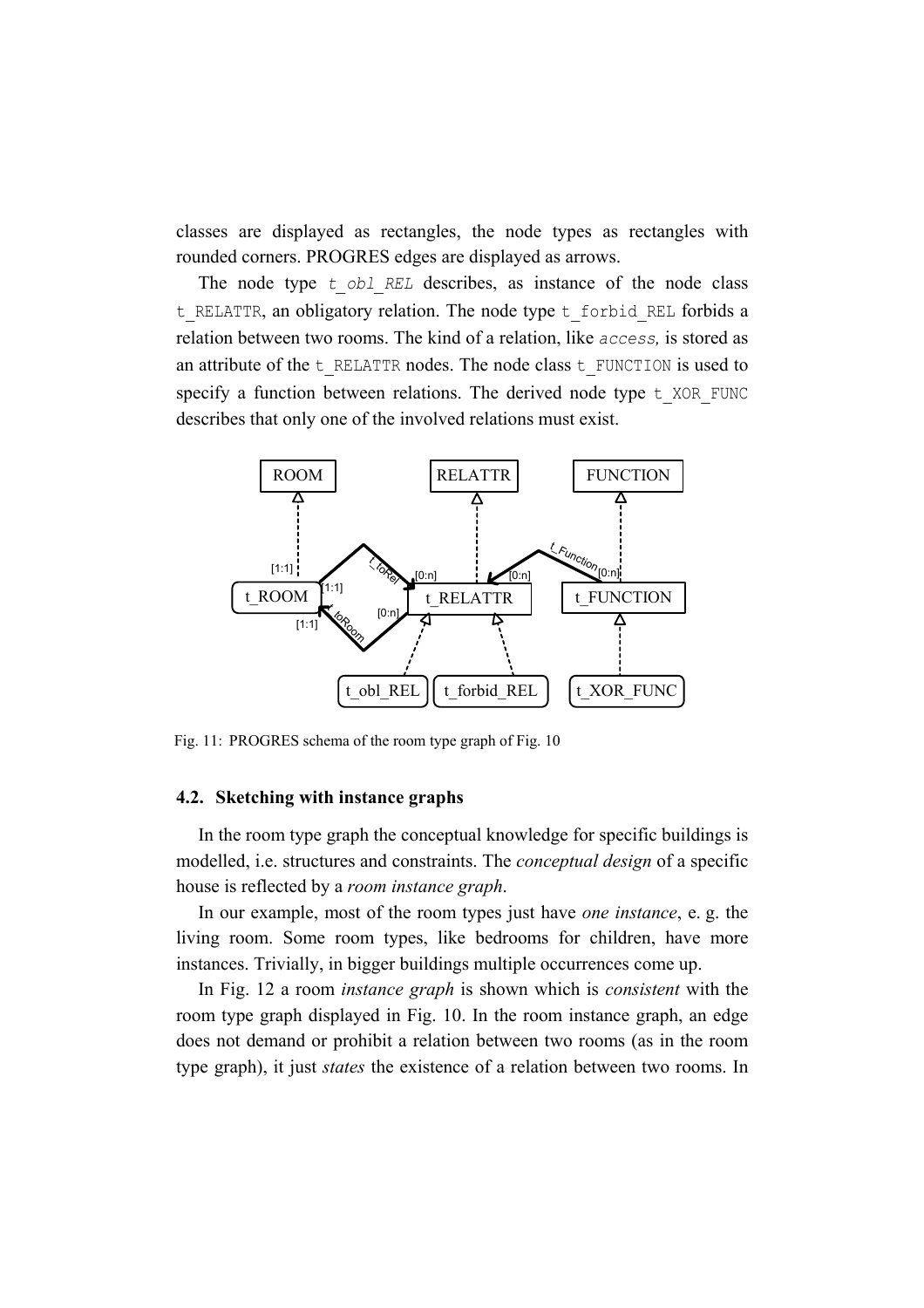classes are displayed as rectangles, the node types as rectangles with rounded corners. PROGRES edges are displayed as arrows.

The node type *t obl REL* describes, as instance of the node class t RELATTR, an obligatory relation. The node type t forbid REL forbids a relation between two rooms. The kind of a relation, like *access,* is stored as an attribute of the t\_RELATTR nodes. The node class t\_FUNCTION is used to specify a function between relations. The derived node type  $t$  XOR FUNC describes that only one of the involved relations must exist.



Fig. 11: PROGRES schema of the room type graph of Fig. 10

#### **4.2. Sketching with instance graphs**

In the room type graph the conceptual knowledge for specific buildings is modelled, i.e. structures and constraints. The *conceptual design* of a specific house is reflected by a *room instance graph*.

In our example, most of the room types just have *one instance*, e. g. the living room. Some room types, like bedrooms for children, have more instances. Trivially, in bigger buildings multiple occurrences come up.

In Fig. 12 a room *instance graph* is shown which is *consistent* with the room type graph displayed in Fig. 10. In the room instance graph, an edge does not demand or prohibit a relation between two rooms (as in the room type graph), it just *states* the existence of a relation between two rooms. In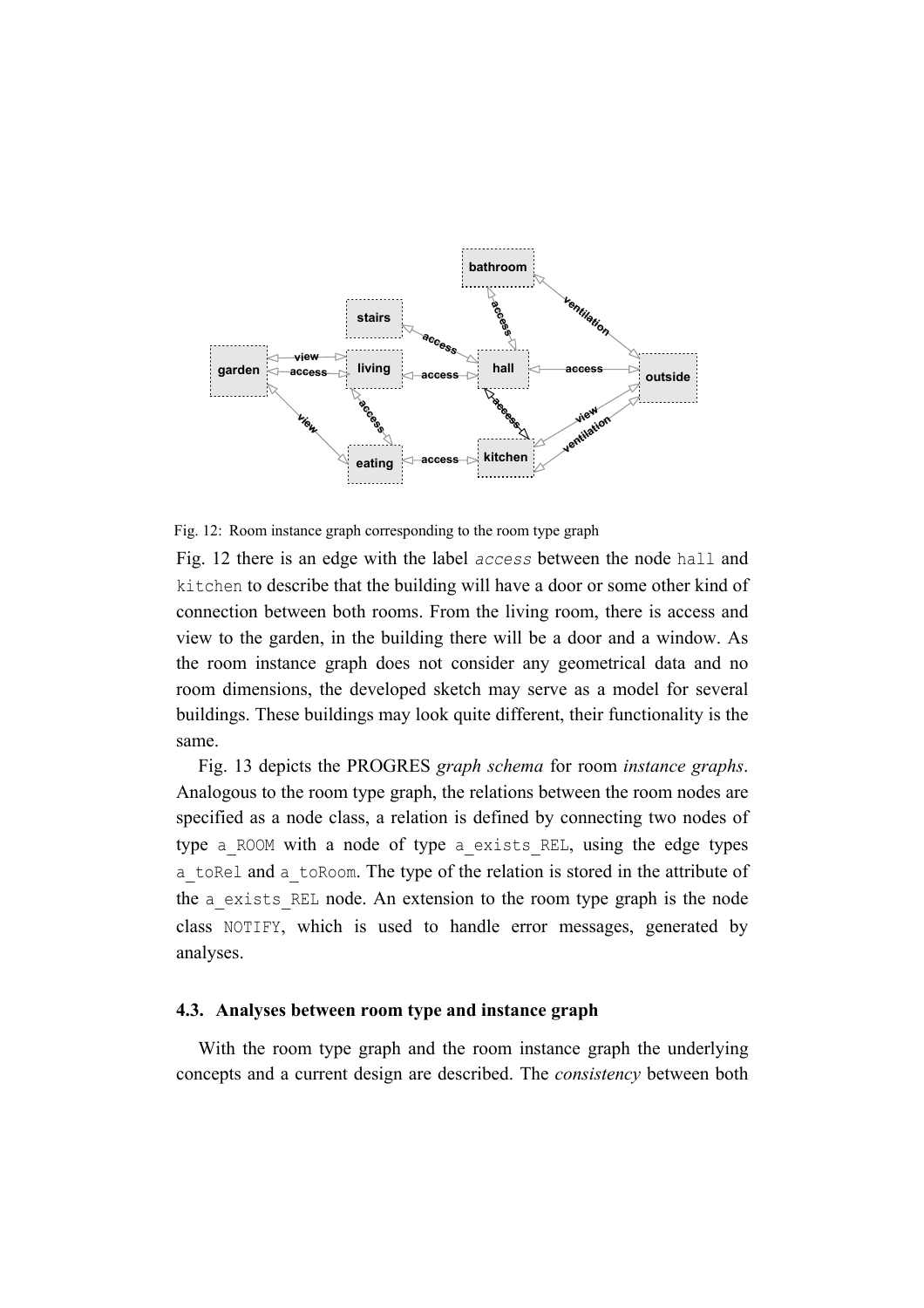

Fig. 12: Room instance graph corresponding to the room type graph

Fig. 12 there is an edge with the label *access* between the node hall and kitchen to describe that the building will have a door or some other kind of connection between both rooms. From the living room, there is access and view to the garden, in the building there will be a door and a window. As the room instance graph does not consider any geometrical data and no room dimensions, the developed sketch may serve as a model for several buildings. These buildings may look quite different, their functionality is the same.

Fig. 13 depicts the PROGRES *graph schema* for room *instance graphs*. Analogous to the room type graph, the relations between the room nodes are specified as a node class, a relation is defined by connecting two nodes of type a\_ROOM with a node of type a\_exists\_REL, using the edge types a\_toRel and a\_toRoom. The type of the relation is stored in the attribute of the a exists REL node. An extension to the room type graph is the node class NOTIFY, which is used to handle error messages, generated by analyses.

#### **4.3. Analyses between room type and instance graph**

With the room type graph and the room instance graph the underlying concepts and a current design are described. The *consistency* between both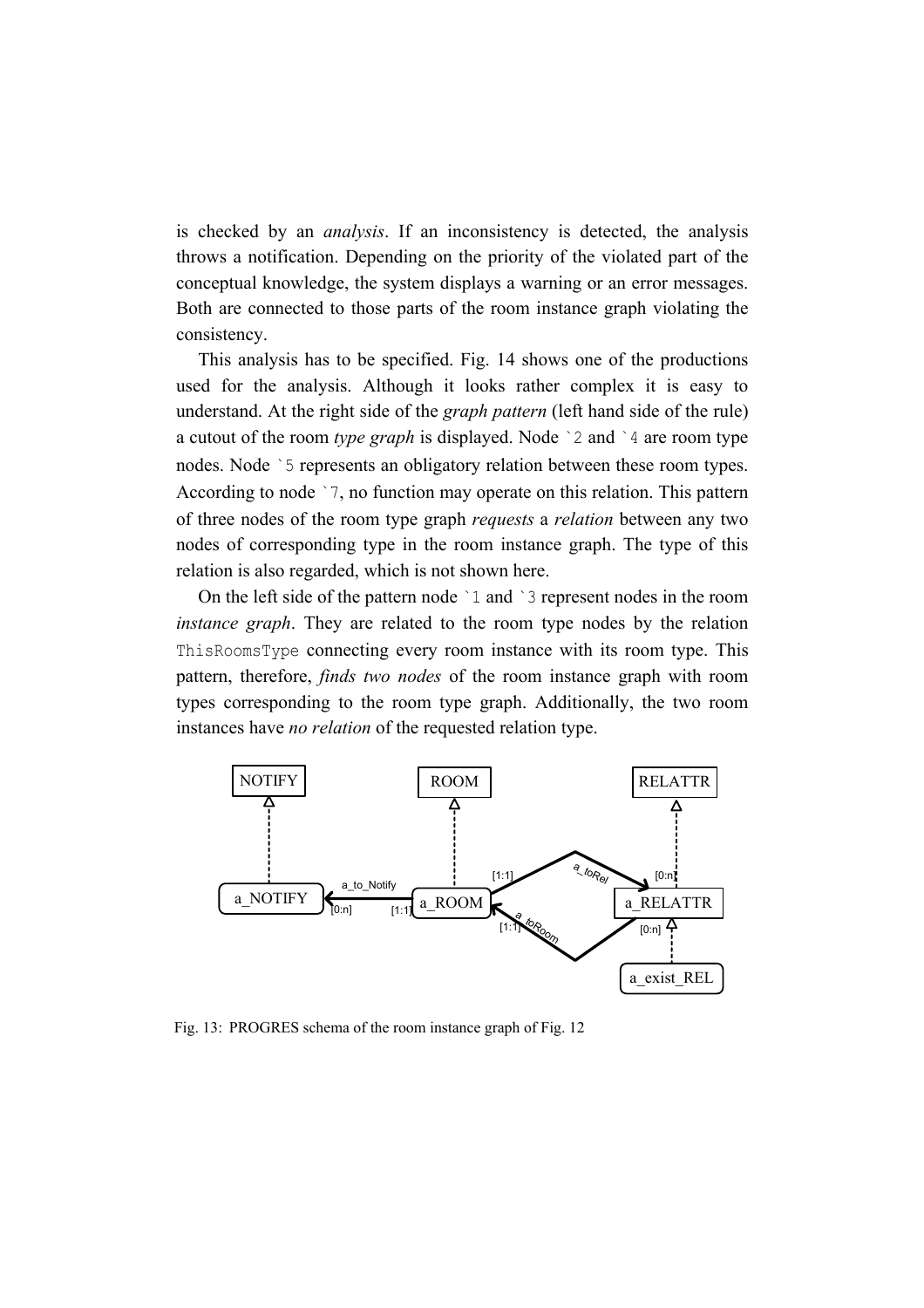is checked by an *analysis*. If an inconsistency is detected, the analysis throws a notification. Depending on the priority of the violated part of the conceptual knowledge, the system displays a warning or an error messages. Both are connected to those parts of the room instance graph violating the consistency.

This analysis has to be specified. Fig. 14 shows one of the productions used for the analysis. Although it looks rather complex it is easy to understand. At the right side of the *graph pattern* (left hand side of the rule) a cutout of the room *type graph* is displayed. Node `2 and `4 are room type nodes. Node `5 represents an obligatory relation between these room types. According to node `7, no function may operate on this relation. This pattern of three nodes of the room type graph *requests* a *relation* between any two nodes of corresponding type in the room instance graph. The type of this relation is also regarded, which is not shown here.

On the left side of the pattern node `1 and `3 represent nodes in the room *instance graph*. They are related to the room type nodes by the relation ThisRoomsType connecting every room instance with its room type. This pattern, therefore, *finds two nodes* of the room instance graph with room types corresponding to the room type graph. Additionally, the two room instances have *no relation* of the requested relation type.



Fig. 13: PROGRES schema of the room instance graph of Fig. 12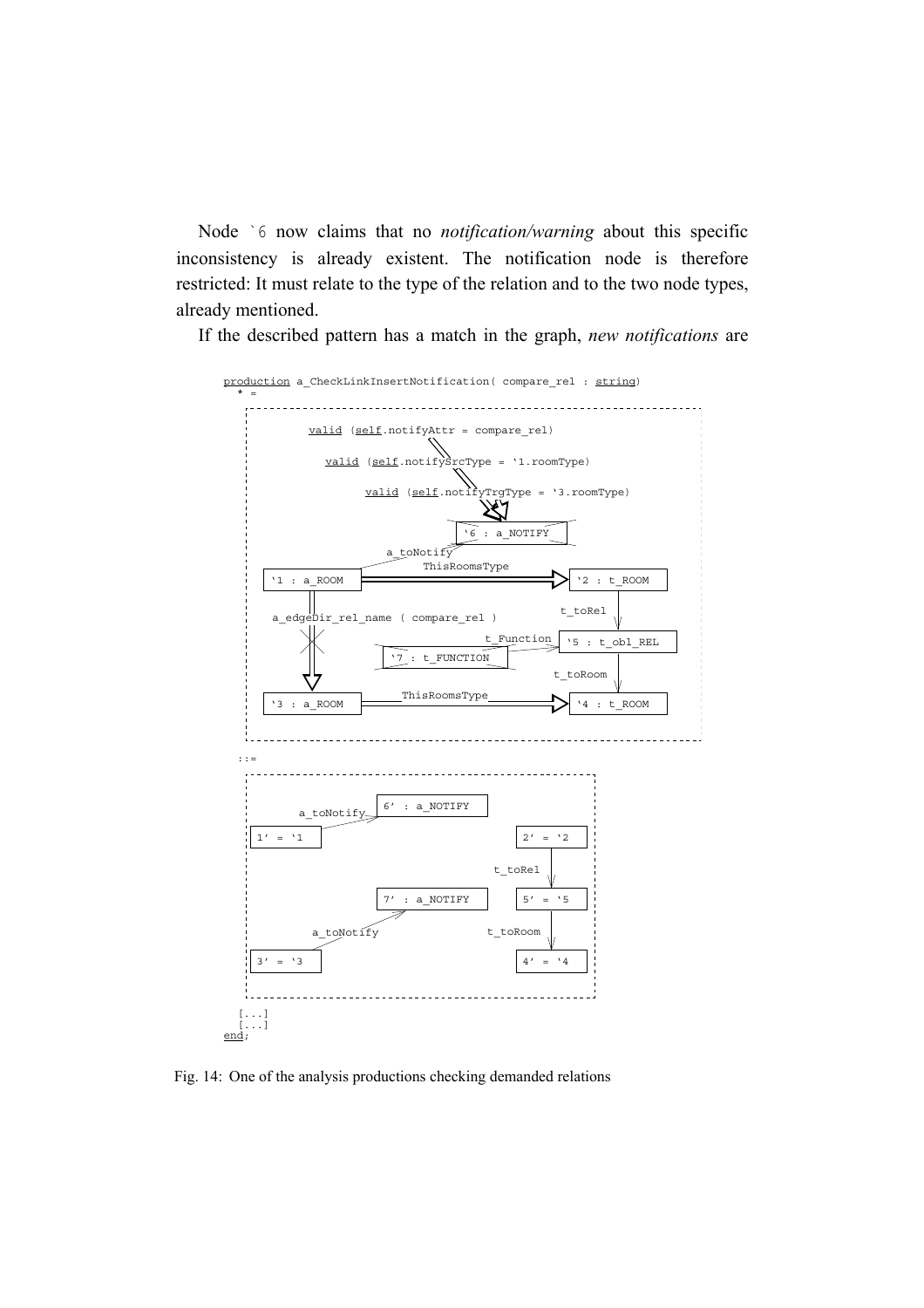Node `6 now claims that no *notification/warning* about this specific inconsistency is already existent. The notification node is therefore restricted: It must relate to the type of the relation and to the two node types, already mentioned.

If the described pattern has a match in the graph, *new notifications* are



Fig. 14: One of the analysis productions checking demanded relations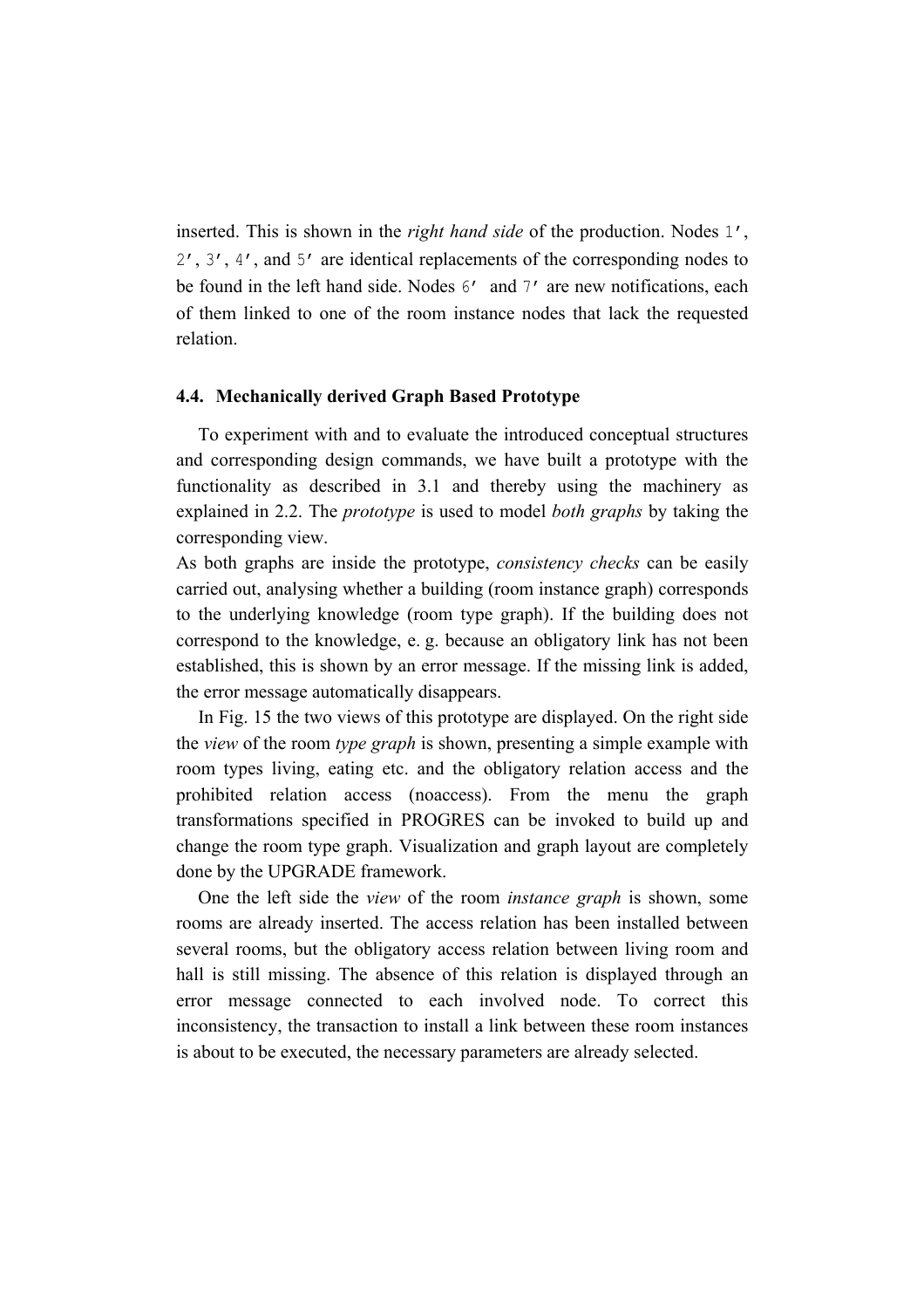inserted. This is shown in the *right hand side* of the production. Nodes 1', 2', 3', 4', and 5' are identical replacements of the corresponding nodes to be found in the left hand side. Nodes 6' and 7' are new notifications, each of them linked to one of the room instance nodes that lack the requested relation.

#### **4.4. Mechanically derived Graph Based Prototype**

To experiment with and to evaluate the introduced conceptual structures and corresponding design commands, we have built a prototype with the functionality as described in 3.1 and thereby using the machinery as explained in 2.2. The *prototype* is used to model *both graphs* by taking the corresponding view.

As both graphs are inside the prototype, *consistency checks* can be easily carried out, analysing whether a building (room instance graph) corresponds to the underlying knowledge (room type graph). If the building does not correspond to the knowledge, e. g. because an obligatory link has not been established, this is shown by an error message. If the missing link is added, the error message automatically disappears.

In Fig. 15 the two views of this prototype are displayed. On the right side the *view* of the room *type graph* is shown, presenting a simple example with room types living, eating etc. and the obligatory relation access and the prohibited relation access (noaccess). From the menu the graph transformations specified in PROGRES can be invoked to build up and change the room type graph. Visualization and graph layout are completely done by the UPGRADE framework.

One the left side the *view* of the room *instance graph* is shown, some rooms are already inserted. The access relation has been installed between several rooms, but the obligatory access relation between living room and hall is still missing. The absence of this relation is displayed through an error message connected to each involved node. To correct this inconsistency, the transaction to install a link between these room instances is about to be executed, the necessary parameters are already selected.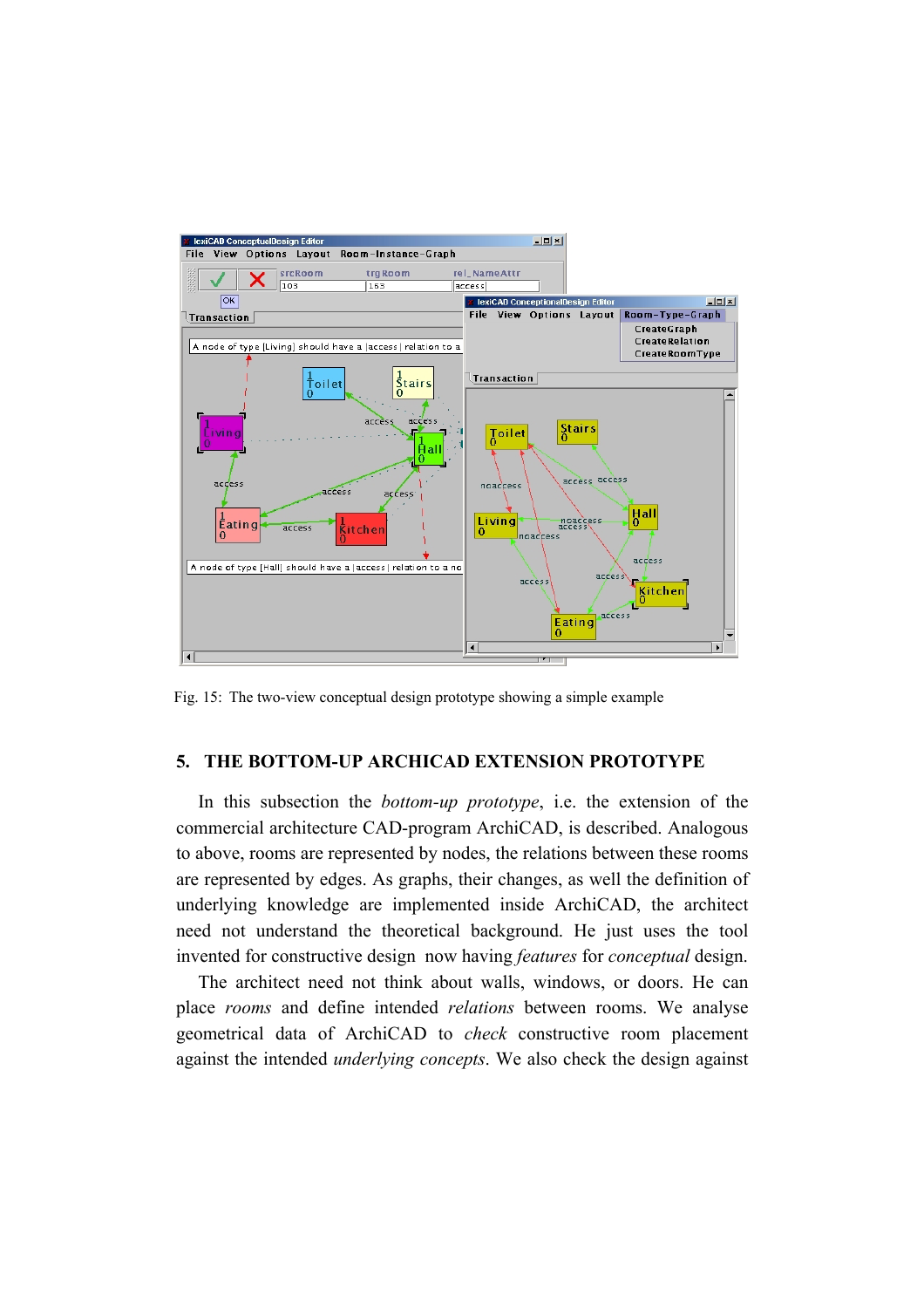

Fig. 15: The two-view conceptual design prototype showing a simple example

# **5. THE BOTTOM-UP ARCHICAD EXTENSION PROTOTYPE**

In this subsection the *bottom-up prototype*, i.e. the extension of the commercial architecture CAD-program ArchiCAD, is described. Analogous to above, rooms are represented by nodes, the relations between these rooms are represented by edges. As graphs, their changes, as well the definition of underlying knowledge are implemented inside ArchiCAD, the architect need not understand the theoretical background. He just uses the tool invented for constructive design now having *features* for *conceptual* design.

The architect need not think about walls, windows, or doors. He can place *rooms* and define intended *relations* between rooms. We analyse geometrical data of ArchiCAD to *check* constructive room placement against the intended *underlying concepts*. We also check the design against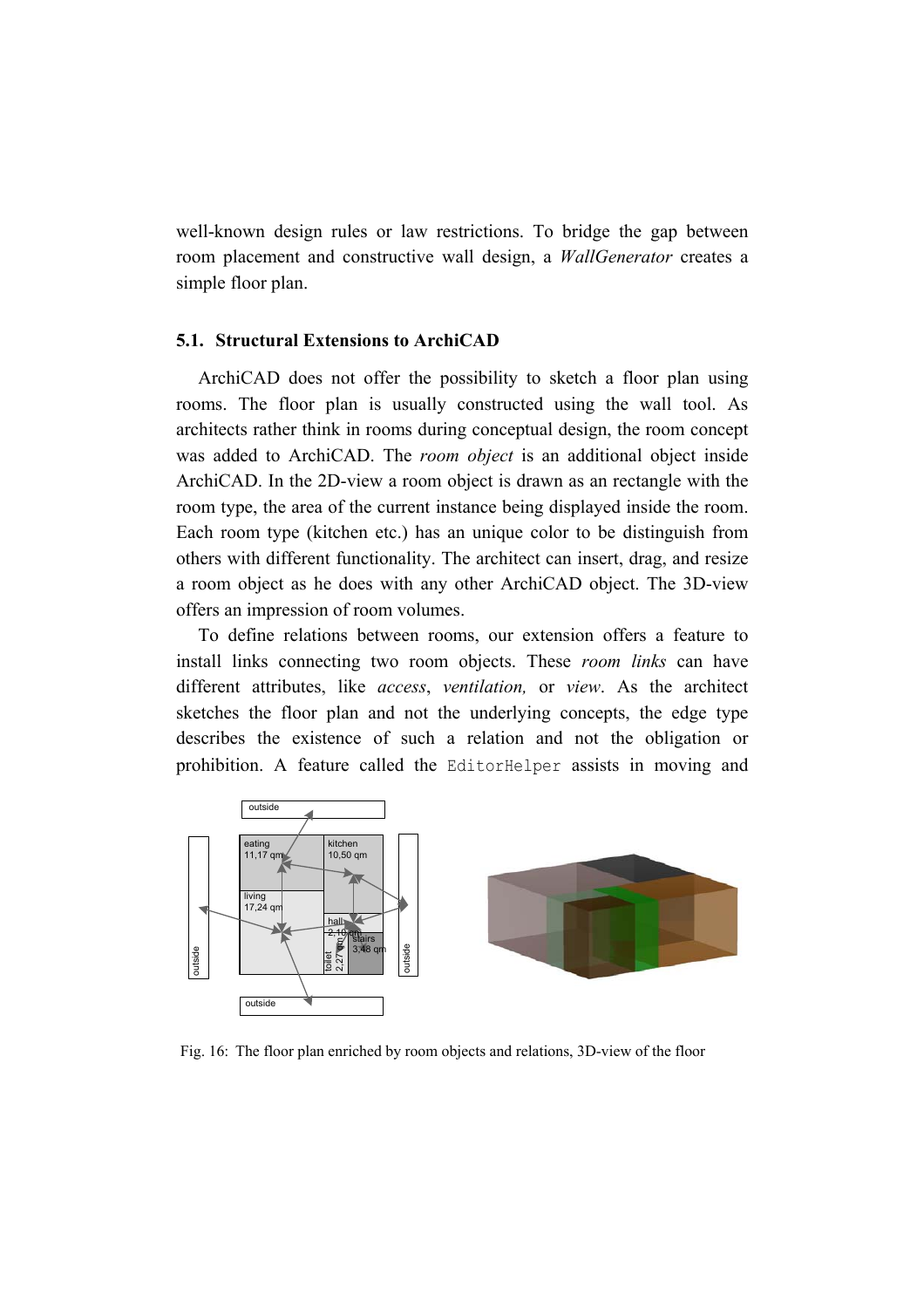well-known design rules or law restrictions. To bridge the gap between room placement and constructive wall design, a *WallGenerator* creates a simple floor plan.

#### **5.1. Structural Extensions to ArchiCAD**

ArchiCAD does not offer the possibility to sketch a floor plan using rooms. The floor plan is usually constructed using the wall tool. As architects rather think in rooms during conceptual design, the room concept was added to ArchiCAD. The *room object* is an additional object inside ArchiCAD. In the 2D-view a room object is drawn as an rectangle with the room type, the area of the current instance being displayed inside the room. Each room type (kitchen etc.) has an unique color to be distinguish from others with different functionality. The architect can insert, drag, and resize a room object as he does with any other ArchiCAD object. The 3D-view offers an impression of room volumes.

To define relations between rooms, our extension offers a feature to install links connecting two room objects. These *room links* can have different attributes, like *access*, *ventilation,* or *view*. As the architect sketches the floor plan and not the underlying concepts, the edge type describes the existence of such a relation and not the obligation or prohibition. A feature called the EditorHelper assists in moving and



Fig. 16: The floor plan enriched by room objects and relations, 3D-view of the floor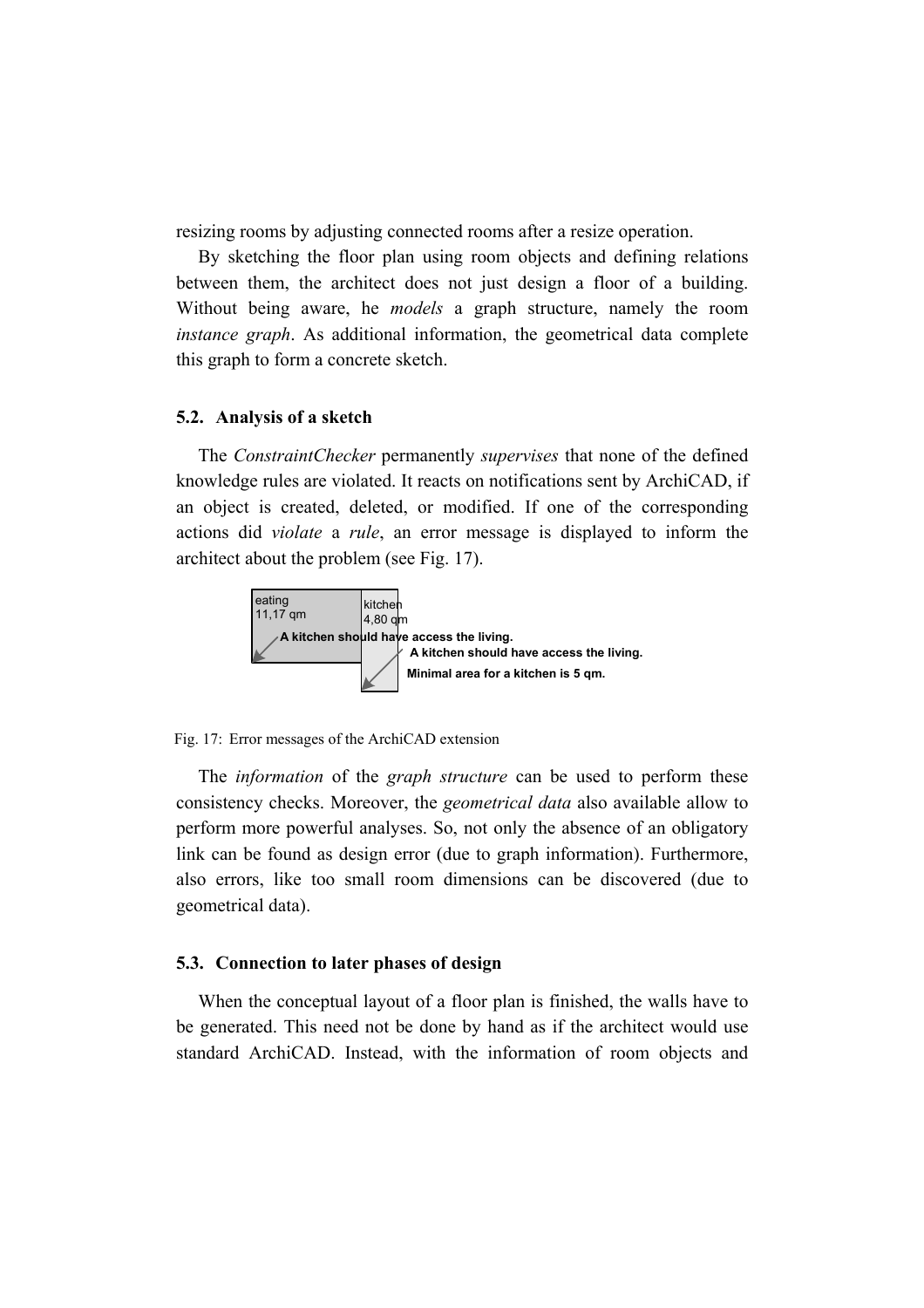resizing rooms by adjusting connected rooms after a resize operation.

By sketching the floor plan using room objects and defining relations between them, the architect does not just design a floor of a building. Without being aware, he *models* a graph structure, namely the room *instance graph*. As additional information, the geometrical data complete this graph to form a concrete sketch.

#### **5.2. Analysis of a sketch**

The *ConstraintChecker* permanently *supervises* that none of the defined knowledge rules are violated. It reacts on notifications sent by ArchiCAD, if an object is created, deleted, or modified. If one of the corresponding actions did *violate* a *rule*, an error message is displayed to inform the architect about the problem (see Fig. 17).



Fig. 17: Error messages of the ArchiCAD extension

The *information* of the *graph structure* can be used to perform these consistency checks. Moreover, the *geometrical data* also available allow to perform more powerful analyses. So, not only the absence of an obligatory link can be found as design error (due to graph information). Furthermore, also errors, like too small room dimensions can be discovered (due to geometrical data).

#### **5.3. Connection to later phases of design**

When the conceptual layout of a floor plan is finished, the walls have to be generated. This need not be done by hand as if the architect would use standard ArchiCAD. Instead, with the information of room objects and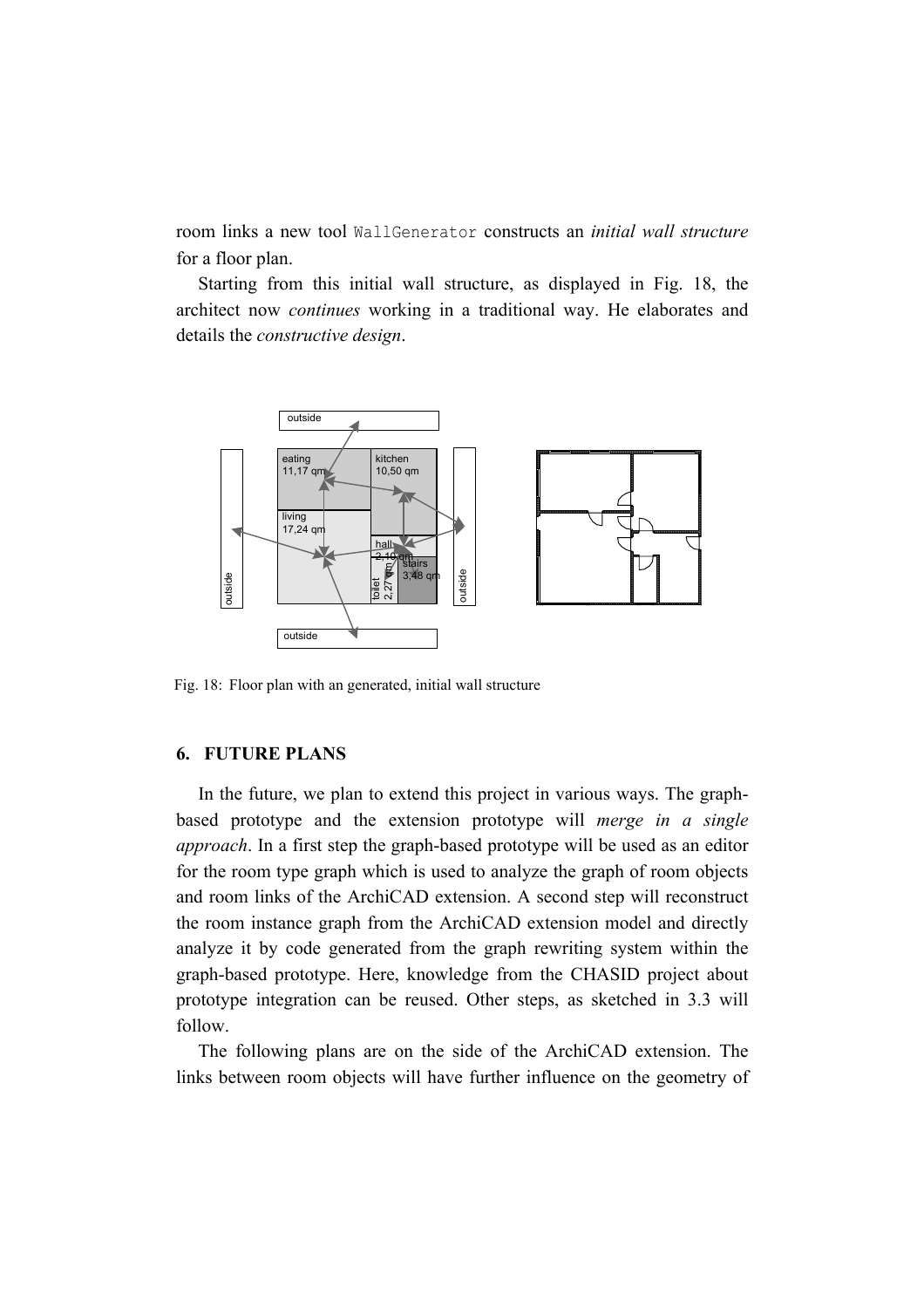room links a new tool WallGenerator constructs an *initial wall structure* for a floor plan.

Starting from this initial wall structure, as displayed in Fig. 18, the architect now *continues* working in a traditional way. He elaborates and details the *constructive design*.



Fig. 18: Floor plan with an generated, initial wall structure

## **6. FUTURE PLANS**

In the future, we plan to extend this project in various ways. The graphbased prototype and the extension prototype will *merge in a single approach*. In a first step the graph-based prototype will be used as an editor for the room type graph which is used to analyze the graph of room objects and room links of the ArchiCAD extension. A second step will reconstruct the room instance graph from the ArchiCAD extension model and directly analyze it by code generated from the graph rewriting system within the graph-based prototype. Here, knowledge from the CHASID project about prototype integration can be reused. Other steps, as sketched in 3.3 will follow.

The following plans are on the side of the ArchiCAD extension. The links between room objects will have further influence on the geometry of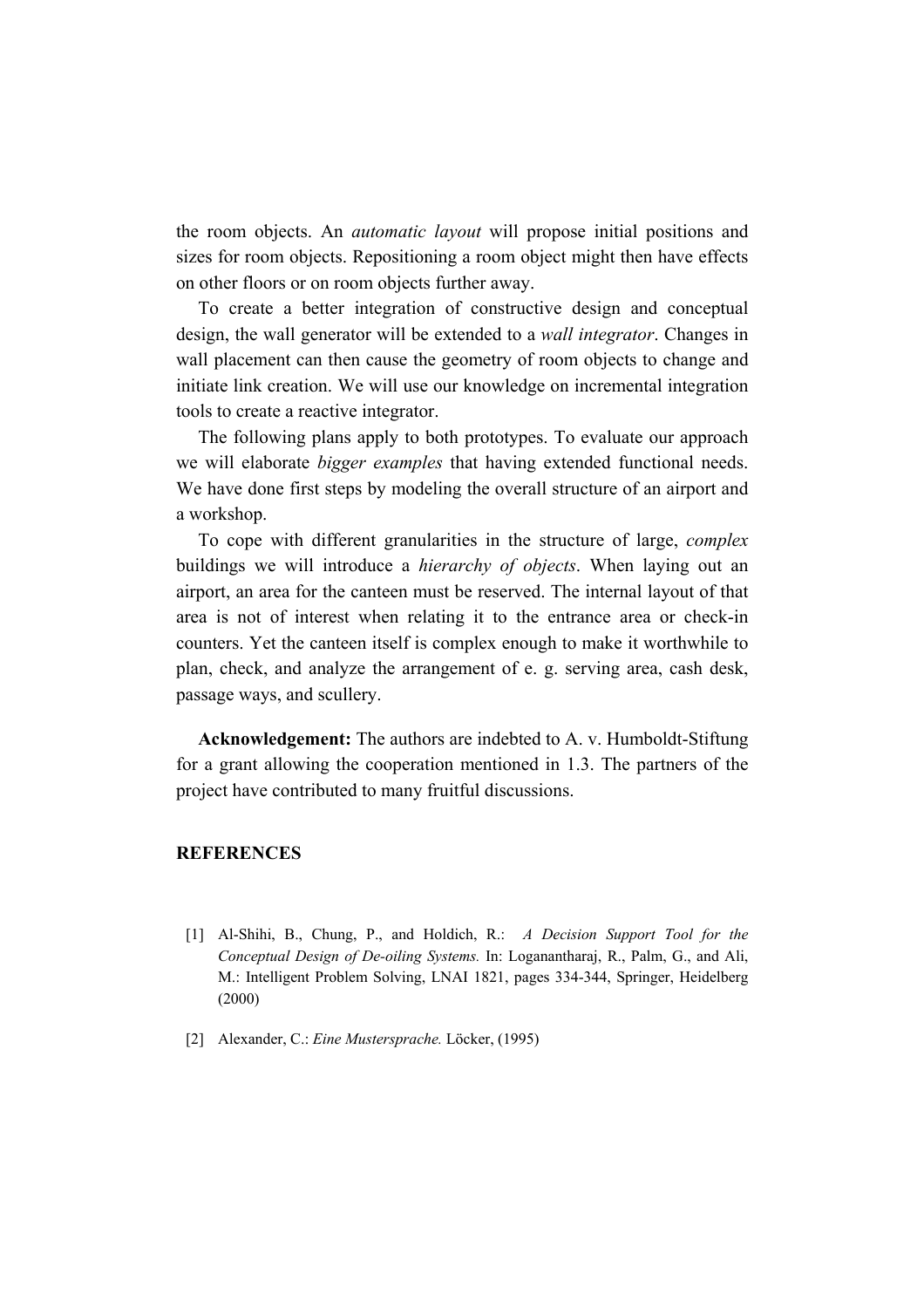the room objects. An *automatic layout* will propose initial positions and sizes for room objects. Repositioning a room object might then have effects on other floors or on room objects further away.

To create a better integration of constructive design and conceptual design, the wall generator will be extended to a *wall integrator*. Changes in wall placement can then cause the geometry of room objects to change and initiate link creation. We will use our knowledge on incremental integration tools to create a reactive integrator.

The following plans apply to both prototypes. To evaluate our approach we will elaborate *bigger examples* that having extended functional needs. We have done first steps by modeling the overall structure of an airport and a workshop.

To cope with different granularities in the structure of large, *complex* buildings we will introduce a *hierarchy of objects*. When laying out an airport, an area for the canteen must be reserved. The internal layout of that area is not of interest when relating it to the entrance area or check-in counters. Yet the canteen itself is complex enough to make it worthwhile to plan, check, and analyze the arrangement of e. g. serving area, cash desk, passage ways, and scullery.

**Acknowledgement:** The authors are indebted to A. v. Humboldt-Stiftung for a grant allowing the cooperation mentioned in 1.3. The partners of the project have contributed to many fruitful discussions.

#### **REFERENCES**

- [1] Al-Shihi, B., Chung, P., and Holdich, R.: *A Decision Support Tool for the Conceptual Design of De-oiling Systems.* In: Loganantharaj, R., Palm, G., and Ali, M.: Intelligent Problem Solving, LNAI 1821, pages 334-344, Springer, Heidelberg (2000)
- [2] Alexander, C.: *Eine Mustersprache.* Löcker, (1995)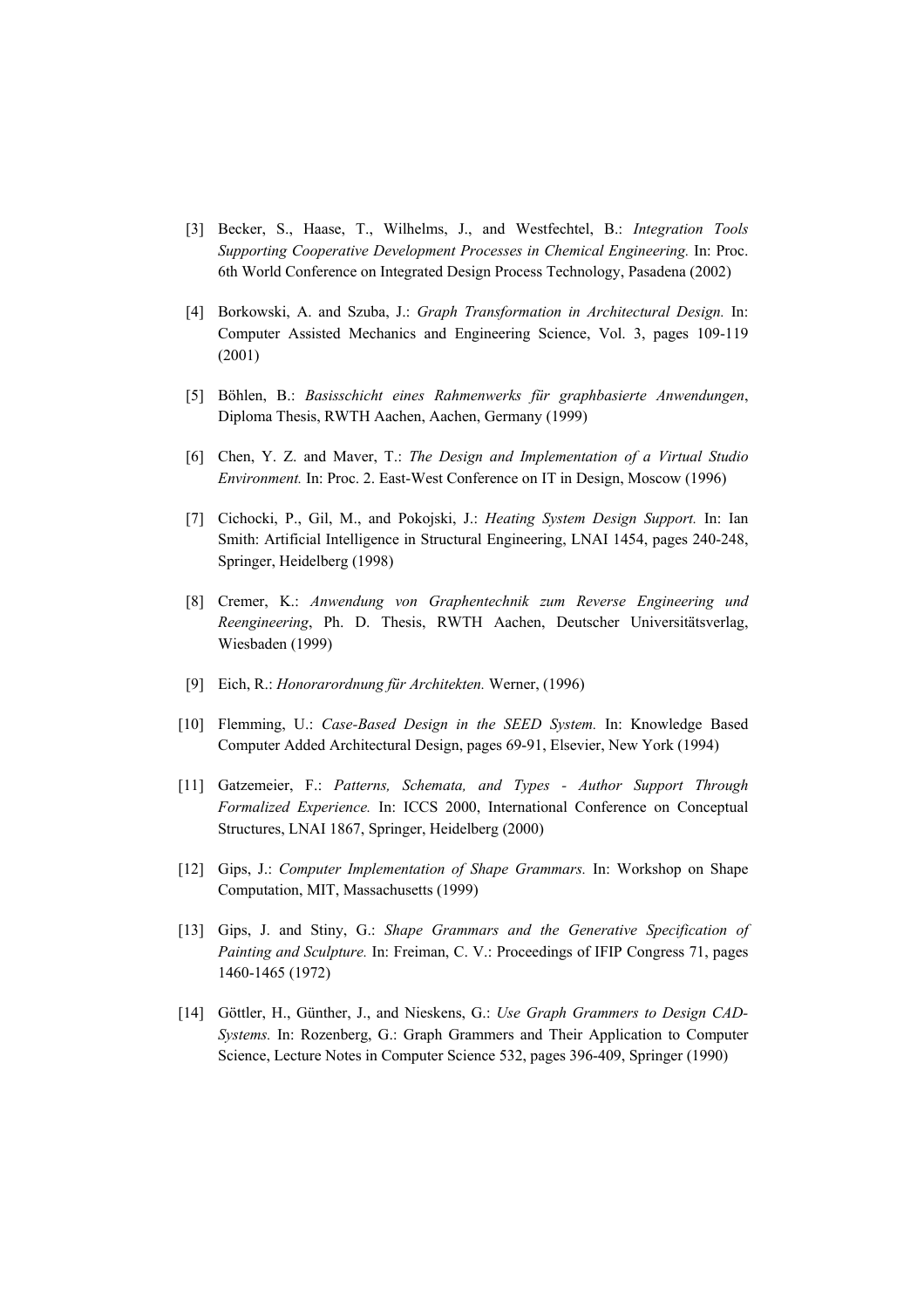- [3] Becker, S., Haase, T., Wilhelms, J., and Westfechtel, B.: *Integration Tools Supporting Cooperative Development Processes in Chemical Engineering.* In: Proc. 6th World Conference on Integrated Design Process Technology, Pasadena (2002)
- [4] Borkowski, A. and Szuba, J.: *Graph Transformation in Architectural Design.* In: Computer Assisted Mechanics and Engineering Science, Vol. 3, pages 109-119 (2001)
- [5] Böhlen, B.: *Basisschicht eines Rahmenwerks für graphbasierte Anwendungen*, Diploma Thesis, RWTH Aachen, Aachen, Germany (1999)
- [6] Chen, Y. Z. and Maver, T.: *The Design and Implementation of a Virtual Studio Environment.* In: Proc. 2. East-West Conference on IT in Design, Moscow (1996)
- [7] Cichocki, P., Gil, M., and Pokojski, J.: *Heating System Design Support.* In: Ian Smith: Artificial Intelligence in Structural Engineering, LNAI 1454, pages 240-248, Springer, Heidelberg (1998)
- [8] Cremer, K.: *Anwendung von Graphentechnik zum Reverse Engineering und Reengineering*, Ph. D. Thesis, RWTH Aachen, Deutscher Universitätsverlag, Wiesbaden (1999)
- [9] Eich, R.: *Honorarordnung für Architekten.* Werner, (1996)
- [10] Flemming, U.: *Case-Based Design in the SEED System.* In: Knowledge Based Computer Added Architectural Design, pages 69-91, Elsevier, New York (1994)
- [11] Gatzemeier, F.: *Patterns, Schemata, and Types Author Support Through Formalized Experience.* In: ICCS 2000, International Conference on Conceptual Structures, LNAI 1867, Springer, Heidelberg (2000)
- [12] Gips, J.: *Computer Implementation of Shape Grammars.* In: Workshop on Shape Computation, MIT, Massachusetts (1999)
- [13] Gips, J. and Stiny, G.: *Shape Grammars and the Generative Specification of Painting and Sculpture.* In: Freiman, C. V.: Proceedings of IFIP Congress 71, pages 1460-1465 (1972)
- [14] Göttler, H., Günther, J., and Nieskens, G.: *Use Graph Grammers to Design CAD-Systems.* In: Rozenberg, G.: Graph Grammers and Their Application to Computer Science, Lecture Notes in Computer Science 532, pages 396-409, Springer (1990)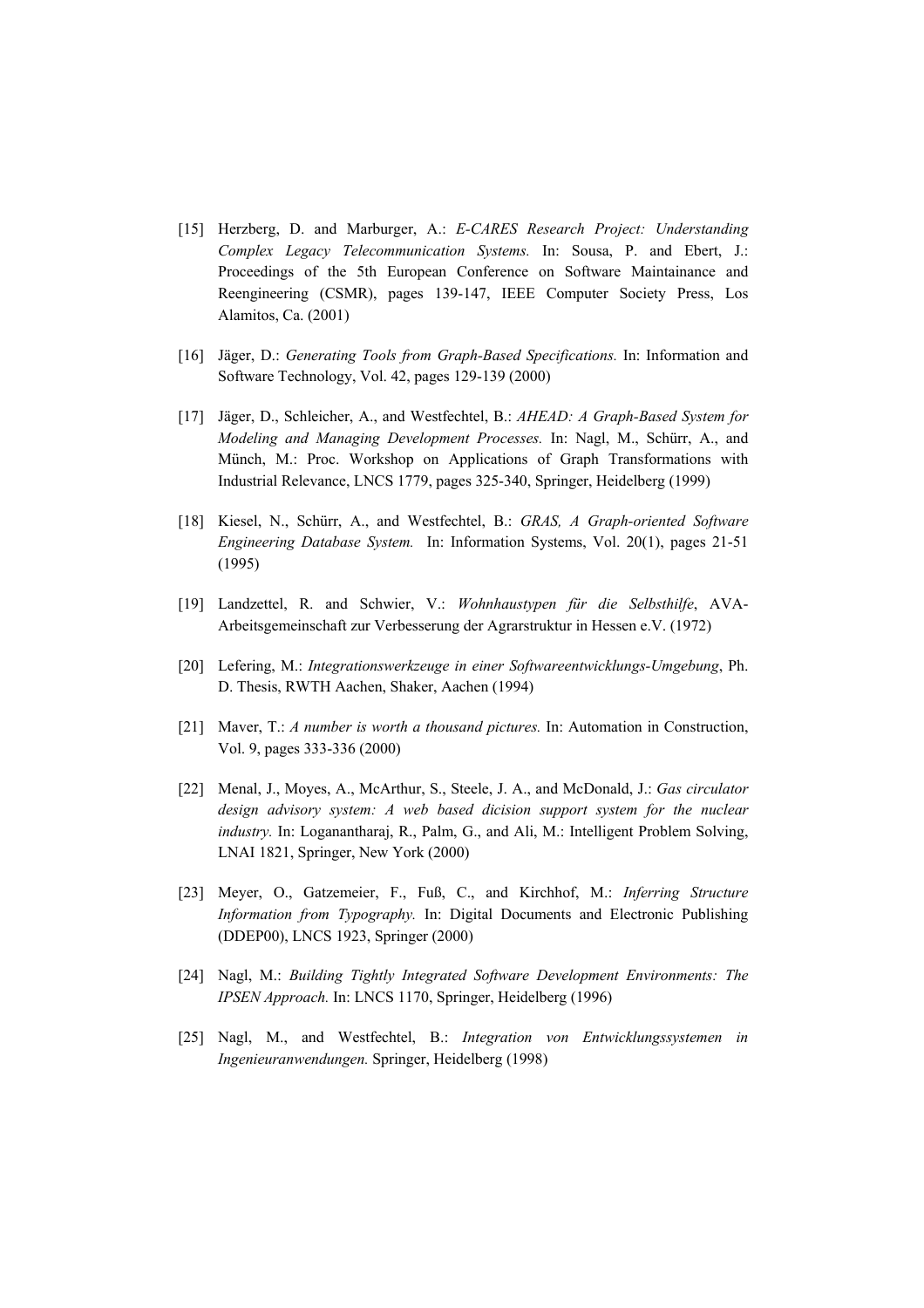- [15] Herzberg, D. and Marburger, A.: *E-CARES Research Project: Understanding Complex Legacy Telecommunication Systems.* In: Sousa, P. and Ebert, J.: Proceedings of the 5th European Conference on Software Maintainance and Reengineering (CSMR), pages 139-147, IEEE Computer Society Press, Los Alamitos, Ca. (2001)
- [16] Jäger, D.: *Generating Tools from Graph-Based Specifications.* In: Information and Software Technology, Vol. 42, pages 129-139 (2000)
- [17] Jäger, D., Schleicher, A., and Westfechtel, B.: *AHEAD: A Graph-Based System for Modeling and Managing Development Processes.* In: Nagl, M., Schürr, A., and Münch, M.: Proc. Workshop on Applications of Graph Transformations with Industrial Relevance, LNCS 1779, pages 325-340, Springer, Heidelberg (1999)
- [18] Kiesel, N., Schürr, A., and Westfechtel, B.: *GRAS, A Graph-oriented Software Engineering Database System.* In: Information Systems, Vol. 20(1), pages 21-51 (1995)
- [19] Landzettel, R. and Schwier, V.: *Wohnhaustypen für die Selbsthilfe*, AVA-Arbeitsgemeinschaft zur Verbesserung der Agrarstruktur in Hessen e.V. (1972)
- [20] Lefering, M.: *Integrationswerkzeuge in einer Softwareentwicklungs-Umgebung*, Ph. D. Thesis, RWTH Aachen, Shaker, Aachen (1994)
- [21] Maver, T.: *A number is worth a thousand pictures.* In: Automation in Construction, Vol. 9, pages 333-336 (2000)
- [22] Menal, J., Moyes, A., McArthur, S., Steele, J. A., and McDonald, J.: *Gas circulator design advisory system: A web based dicision support system for the nuclear industry.* In: Loganantharaj, R., Palm, G., and Ali, M.: Intelligent Problem Solving, LNAI 1821, Springer, New York (2000)
- [23] Meyer, O., Gatzemeier, F., Fuß, C., and Kirchhof, M.: *Inferring Structure Information from Typography.* In: Digital Documents and Electronic Publishing (DDEP00), LNCS 1923, Springer (2000)
- [24] Nagl, M.: *Building Tightly Integrated Software Development Environments: The IPSEN Approach.* In: LNCS 1170, Springer, Heidelberg (1996)
- [25] Nagl, M., and Westfechtel, B.: *Integration von Entwicklungssystemen in Ingenieuranwendungen.* Springer, Heidelberg (1998)